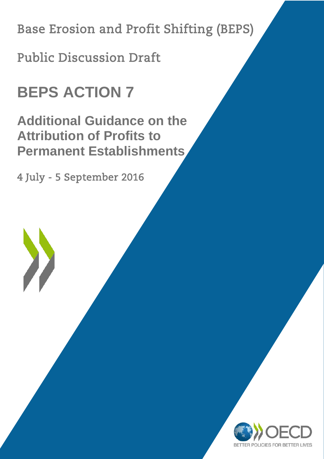Base Erosion and Profit Shifting (BEPS)

Public Discussion Draft

# **BEPS ACTION 7**

**Additional Guidance on the Attribution of Profits to Permanent Establishments**

4 July - 5 September 2016

1

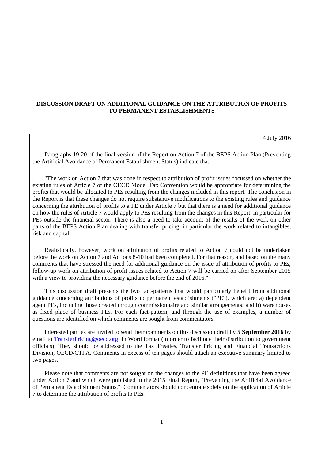# **DISCUSSION DRAFT ON ADDITIONAL GUIDANCE ON THE ATTRIBUTION OF PROFITS TO PERMANENT ESTABLISHMENTS**

#### 4 July 2016

Paragraphs 19-20 of the final version of the Report on Action 7 of the BEPS Action Plan (Preventing the Artificial Avoidance of Permanent Establishment Status) indicate that:

"The work on Action 7 that was done in respect to attribution of profit issues focussed on whether the existing rules of Article 7 of the OECD Model Tax Convention would be appropriate for determining the profits that would be allocated to PEs resulting from the changes included in this report. The conclusion in the Report is that these changes do not require substantive modifications to the existing rules and guidance concerning the attribution of profits to a PE under Article 7 but that there is a need for additional guidance on how the rules of Article 7 would apply to PEs resulting from the changes in this Report, in particular for PEs outside the financial sector. There is also a need to take account of the results of the work on other parts of the BEPS Action Plan dealing with transfer pricing, in particular the work related to intangibles, risk and capital.

Realistically, however, work on attribution of profits related to Action 7 could not be undertaken before the work on Action 7 and Actions 8-10 had been completed. For that reason, and based on the many comments that have stressed the need for additional guidance on the issue of attribution of profits to PEs, follow-up work on attribution of profit issues related to Action 7 will be carried on after September 2015 with a view to providing the necessary guidance before the end of 2016."

This discussion draft presents the two fact-patterns that would particularly benefit from additional guidance concerning attributions of profits to permanent establishments ("PE"), which are: a) dependent agent PEs, including those created through commissionnaire and similar arrangements; and b) warehouses as fixed place of business PEs. For each fact-pattern, and through the use of examples, a number of questions are identified on which comments are sought from commentators.

Interested parties are invited to send their comments on this discussion draft by **5 September 2016** by email to [TransferPricing@oecd.org](mailto:TransferPricing@oecd.org) in Word format (in order to facilitate their distribution to government officials). They should be addressed to the Tax Treaties, Transfer Pricing and Financial Transactions Division, OECD/CTPA. Comments in excess of ten pages should attach an executive summary limited to two pages.

Please note that comments are not sought on the changes to the PE definitions that have been agreed under Action 7 and which were published in the 2015 Final Report, "Preventing the Artificial Avoidance of Permanent Establishment Status."Commentators should concentrate solely on the application of Article 7 to determine the attribution of profits to PEs.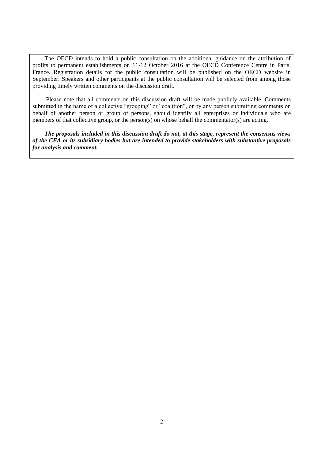The OECD intends to hold a public consultation on the additional guidance on the attribution of profits to permanent establishments on 11-12 October 2016 at the OECD Conference Centre in Paris, France. Registration details for the public consultation will be published on the OECD website in September. Speakers and other participants at the public consultation will be selected from among those providing timely written comments on the discussion draft.

Please note that all comments on this discussion draft will be made publicly available. Comments submitted in the name of a collective "grouping" or "coalition", or by any person submitting comments on behalf of another person or group of persons, should identify all enterprises or individuals who are members of that collective group, or the person(s) on whose behalf the commentator(s) are acting.

*The proposals included in this discussion draft do not, at this stage, represent the consensus views of the CFA or its subsidiary bodies but are intended to provide stakeholders with substantive proposals for analysis and comment.*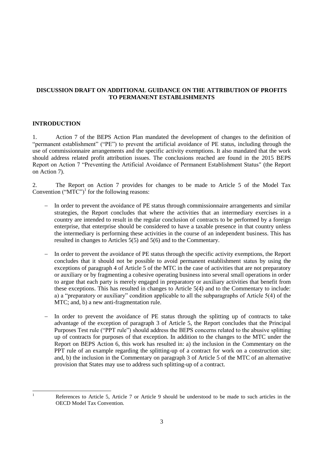# **DISCUSSION DRAFT ON ADDITIONAL GUIDANCE ON THE ATTRIBUTION OF PROFITS TO PERMANENT ESTABLISHMENTS**

## **INTRODUCTION**

 $\mathbf{1}$ 

1. Action 7 of the BEPS Action Plan mandated the development of changes to the definition of "permanent establishment" ("PE") to prevent the artificial avoidance of PE status, including through the use of commissionnaire arrangements and the specific activity exemptions. It also mandated that the work should address related profit attribution issues. The conclusions reached are found in the 2015 BEPS Report on Action 7 "Preventing the Artificial Avoidance of Permanent Establishment Status" (the Report on Action 7).

2. The Report on Action 7 provides for changes to be made to Article 5 of the Model Tax Convention (" $MTC$ ")<sup>1</sup> for the following reasons:

- In order to prevent the avoidance of PE status through commissionnaire arrangements and similar strategies, the Report concludes that where the activities that an intermediary exercises in a country are intended to result in the regular conclusion of contracts to be performed by a foreign enterprise, that enterprise should be considered to have a taxable presence in that country unless the intermediary is performing these activities in the course of an independent business. This has resulted in changes to Articles 5(5) and 5(6) and to the Commentary.
- In order to prevent the avoidance of PE status through the specific activity exemptions, the Report concludes that it should not be possible to avoid permanent establishment status by using the exceptions of paragraph 4 of Article 5 of the MTC in the case of activities that are not preparatory or auxiliary or by fragmenting a cohesive operating business into several small operations in order to argue that each party is merely engaged in preparatory or auxiliary activities that benefit from these exceptions. This has resulted in changes to Article 5(4) and to the Commentary to include: a) a "preparatory or auxiliary" condition applicable to all the subparagraphs of Article 5(4) of the MTC; and, b) a new anti-fragmentation rule.
- In order to prevent the avoidance of PE status through the splitting up of contracts to take advantage of the exception of paragraph 3 of Article 5, the Report concludes that the Principal Purposes Test rule ("PPT rule") should address the BEPS concerns related to the abusive splitting up of contracts for purposes of that exception. In addition to the changes to the MTC under the Report on BEPS Action 6, this work has resulted in: a) the inclusion in the Commentary on the PPT rule of an example regarding the splitting-up of a contract for work on a construction site; and, b) the inclusion in the Commentary on paragraph 3 of Article 5 of the MTC of an alternative provision that States may use to address such splitting-up of a contract.

References to Article 5, Article 7 or Article 9 should be understood to be made to such articles in the OECD Model Tax Convention.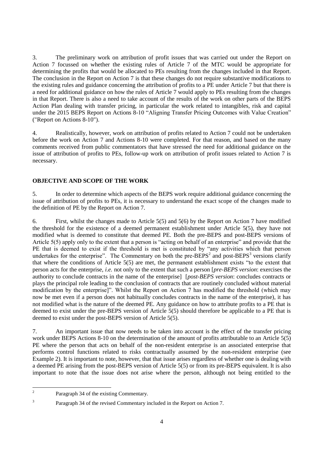3. The preliminary work on attribution of profit issues that was carried out under the Report on Action 7 focussed on whether the existing rules of Article 7 of the MTC would be appropriate for determining the profits that would be allocated to PEs resulting from the changes included in that Report. The conclusion in the Report on Action 7 is that these changes do not require substantive modifications to the existing rules and guidance concerning the attribution of profits to a PE under Article 7 but that there is a need for additional guidance on how the rules of Article 7 would apply to PEs resulting from the changes in that Report. There is also a need to take account of the results of the work on other parts of the BEPS Action Plan dealing with transfer pricing, in particular the work related to intangibles, risk and capital under the 2015 BEPS Report on Actions 8-10 "Aligning Transfer Pricing Outcomes with Value Creation" ("Report on Actions 8-10").

4. Realistically, however, work on attribution of profits related to Action 7 could not be undertaken before the work on Action 7 and Actions 8-10 were completed. For that reason, and based on the many comments received from public commentators that have stressed the need for additional guidance on the issue of attribution of profits to PEs, follow-up work on attribution of profit issues related to Action 7 is necessary.

# **OBJECTIVE AND SCOPE OF THE WORK**

5. In order to determine which aspects of the BEPS work require additional guidance concerning the issue of attribution of profits to PEs, it is necessary to understand the exact scope of the changes made to the definition of PE by the Report on Action 7.

6. First, whilst the changes made to Article 5(5) and 5(6) by the Report on Action 7 have modified the threshold for the existence of a deemed permanent establishment under Article 5(5), they have not modified what is deemed to constitute that deemed PE. Both the pre-BEPS and post-BEPS versions of Article 5(5) apply only to the extent that a person is "acting on behalf of an enterprise" and provide that the PE that is deemed to exist if the threshold is met is constituted by "any activities which that person undertakes for the enterprise". The Commentary on both the pre-BEPS<sup>2</sup> and post-BEPS<sup>3</sup> versions clarify that where the conditions of Article 5(5) are met, the permanent establishment exists "to the extent that person acts for the enterprise, *i.e.* not only to the extent that such a person [*pre-BEPS version*: exercises the authority to conclude contracts in the name of the enterprise] [*post-BEPS version*: concludes contracts or plays the principal role leading to the conclusion of contracts that are routinely concluded without material modification by the enterprise]". Whilst the Report on Action 7 has modified the threshold (which may now be met even if a person does not habitually concludes contracts in the name of the enterprise), it has not modified what is the nature of the deemed PE. Any guidance on how to attribute profits to a PE that is deemed to exist under the pre-BEPS version of Article 5(5) should therefore be applicable to a PE that is deemed to exist under the post-BEPS version of Article 5(5).

7. An important issue that now needs to be taken into account is the effect of the transfer pricing work under BEPS Actions 8-10 on the determination of the amount of profits attributable to an Article 5(5) PE where the person that acts on behalf of the non-resident enterprise is an associated enterprise that performs control functions related to risks contractually assumed by the non-resident enterprise (see Example 2). It is important to note, however, that that issue arises regardless of whether one is dealing with a deemed PE arising from the post-BEPS version of Article 5(5) or from its pre-BEPS equivalent. It is also important to note that the issue does not arise where the person, although not being entitled to the

3

Paragraph 34 of the revised Commentary included in the Report on Action 7.

 $\frac{1}{2}$ Paragraph 34 of the existing Commentary.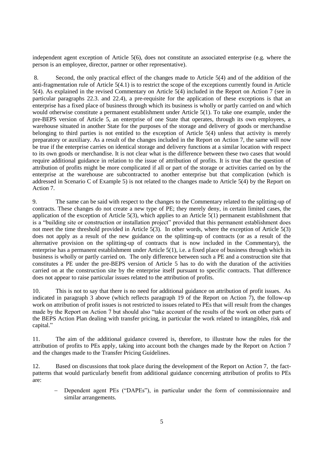independent agent exception of Article 5(6), does not constitute an associated enterprise (e.g. where the person is an employee, director, partner or other representative).

8. Second, the only practical effect of the changes made to Article 5(4) and of the addition of the anti-fragmentation rule of Article 5(4.1) is to restrict the scope of the exceptions currently found in Article 5(4). As explained in the revised Commentary on Article 5(4) included in the Report on Action 7 (see in particular paragraphs 22.3. and 22.4), a pre-requisite for the application of these exceptions is that an enterprise has a fixed place of business through which its business is wholly or partly carried on and which would otherwise constitute a permanent establishment under Article 5(1). To take one example, under the pre-BEPS version of Article 5, an enterprise of one State that operates, through its own employees, a warehouse situated in another State for the purposes of the storage and delivery of goods or merchandise belonging to third parties is not entitled to the exception of Article 5(4) unless that activity is merely preparatory or auxiliary. As a result of the changes included in the Report on Action 7, the same will now be true if the enterprise carries on identical storage and delivery functions at a similar location with respect to its own goods or merchandise. It is not clear what is the difference between these two cases that would require additional guidance in relation to the issue of attribution of profits. It is true that the question of attribution of profits might be more complicated if all or part of the storage or activities carried on by the enterprise at the warehouse are subcontracted to another enterprise but that complication (which is addressed in Scenario C of Example 5) is not related to the changes made to Article 5(4) by the Report on Action 7.

9. The same can be said with respect to the changes to the Commentary related to the splitting-up of contracts. These changes do not create a new type of PE; they merely deny, in certain limited cases, the application of the exception of Article 5(3), which applies to an Article 5(1) permanent establishment that is a "building site or construction or installation project" provided that this permanent establishment does not meet the time threshold provided in Article 5(3). In other words, where the exception of Article 5(3) does not apply as a result of the new guidance on the splitting-up of contracts (or as a result of the alternative provision on the splitting-up of contracts that is now included in the Commentary), the enterprise has a permanent establishment under Article 5(1), i.e. a fixed place of business through which its business is wholly or partly carried on. The only difference between such a PE and a construction site that constitutes a PE under the pre-BEPS version of Article 5 has to do with the duration of the activities carried on at the construction site by the enterprise itself pursuant to specific contracts. That difference does not appear to raise particular issues related to the attribution of profits.

10. This is not to say that there is no need for additional guidance on attribution of profit issues. As indicated in paragraph 3 above (which reflects paragraph 19 of the Report on Action 7), the follow-up work on attribution of profit issues is not restricted to issues related to PEs that will result from the changes made by the Report on Action 7 but should also "take account of the results of the work on other parts of the BEPS Action Plan dealing with transfer pricing, in particular the work related to intangibles, risk and capital."

11. The aim of the additional guidance covered is, therefore, to illustrate how the rules for the attribution of profits to PEs apply, taking into account both the changes made by the Report on Action 7 and the changes made to the Transfer Pricing Guidelines.

12. Based on discussions that took place during the development of the Report on Action 7, the factpatterns that would particularly benefit from additional guidance concerning attribution of profits to PEs are:

 Dependent agent PEs ("DAPEs"), in particular under the form of commissionnaire and similar arrangements.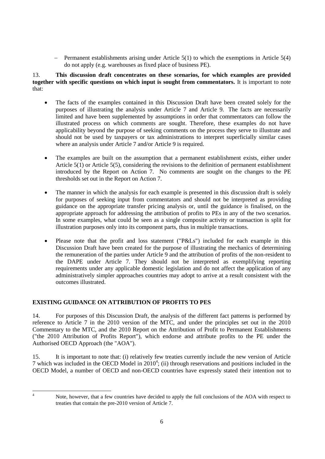- Permanent establishments arising under Article  $5(1)$  to which the exemptions in Article  $5(4)$ do not apply (e.g. warehouses as fixed place of business PE).

13. **This discussion draft concentrates on these scenarios, for which examples are provided together with specific questions on which input is sought from commentators.** It is important to note that:

- The facts of the examples contained in this Discussion Draft have been created solely for the purposes of illustrating the analysis under Article 7 and Article 9. The facts are necessarily limited and have been supplemented by assumptions in order that commentators can follow the illustrated process on which comments are sought. Therefore, these examples do not have applicability beyond the purpose of seeking comments on the process they serve to illustrate and should not be used by taxpayers or tax administrations to interpret superficially similar cases where an analysis under Article 7 and/or Article 9 is required.
- The examples are built on the assumption that a permanent establishment exists, either under Article  $5(1)$  or Article  $5(5)$ , considering the revisions to the definition of permanent establishment introduced by the Report on Action 7. No comments are sought on the changes to the PE thresholds set out in the Report on Action 7.
- The manner in which the analysis for each example is presented in this discussion draft is solely for purposes of seeking input from commentators and should not be interpreted as providing guidance on the appropriate transfer pricing analysis or, until the guidance is finalised, on the appropriate approach for addressing the attribution of profits to PEs in any of the two scenarios. In some examples, what could be seen as a single composite activity or transaction is split for illustration purposes only into its component parts, thus in multiple transactions.
- Please note that the profit and loss statement ("P&Ls") included for each example in this Discussion Draft have been created for the purpose of illustrating the mechanics of determining the remuneration of the parties under Article 9 and the attribution of profits of the non-resident to the DAPE under Article 7. They should not be interpreted as exemplifying reporting requirements under any applicable domestic legislation and do not affect the application of any administratively simpler approaches countries may adopt to arrive at a result consistent with the outcomes illustrated.

# **EXISTING GUIDANCE ON ATTRIBUTION OF PROFITS TO PES**

14. For purposes of this Discussion Draft, the analysis of the different fact patterns is performed by reference to Article 7 in the 2010 version of the MTC, and under the principles set out in the 2010 Commentary to the MTC, and the 2010 Report on the Attribution of Profit to Permanent Establishments ("the 2010 Attribution of Profits Report"), which endorse and attribute profits to the PE under the Authorised OECD Approach (the "AOA").

15. It is important to note that: (i) relatively few treaties currently include the new version of Article 7 which was included in the OECD Model in  $2010^4$ ; (ii) through reservations and positions included in the OECD Model, a number of OECD and non-OECD countries have expressly stated their intention not to

 $\overline{A}$ 

Note, however, that a few countries have decided to apply the full conclusions of the AOA with respect to treaties that contain the pre-2010 version of Article 7.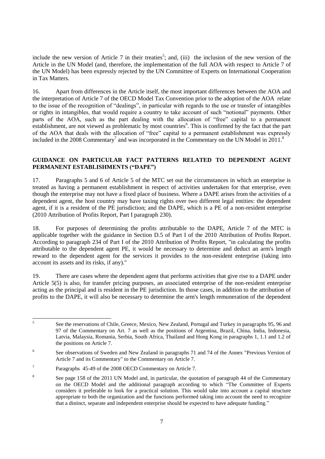include the new version of Article 7 in their treaties<sup>5</sup>; and, (iii) the inclusion of the new version of the Article in the UN Model (and, therefore, the implementation of the full AOA with respect to Article 7 of the UN Model) has been expressly rejected by the UN Committee of Experts on International Cooperation in Tax Matters.

16. Apart from differences in the Article itself, the most important differences between the AOA and the interpretation of Article 7 of the OECD Model Tax Convention prior to the adoption of the AOA relate to the issue of the recognition of "dealings", in particular with regards to the use or transfer of intangibles or rights in intangibles, that would require a country to take account of such "notional" payments. Other parts of the AOA, such as the part dealing with the allocation of "free" capital to a permanent establishment, are not viewed as problematic by most countries<sup>6</sup>. This is confirmed by the fact that the part of the AOA that deals with the allocation of "free" capital to a permanent establishment was expressly included in the 2008 Commentary<sup>7</sup> and was incorporated in the Commentary on the UN Model in 2011.<sup>8</sup>

# **GUIDANCE ON PARTICULAR FACT PATTERNS RELATED TO DEPENDENT AGENT PERMANENT ESTABLISHMENTS ("DAPE")**

17. Paragraphs 5 and 6 of Article 5 of the MTC set out the circumstances in which an enterprise is treated as having a permanent establishment in respect of activities undertaken for that enterprise, even though the enterprise may not have a fixed place of business. Where a DAPE arises from the activities of a dependent agent, the host country may have taxing rights over two different legal entities: the dependent agent, if it is a resident of the PE jurisdiction; and the DAPE, which is a PE of a non-resident enterprise (2010 Attribution of Profits Report, Part I paragraph 230).

18. For purposes of determining the profits attributable to the DAPE, Article 7 of the MTC is applicable together with the guidance in Section D.5 of Part I of the 2010 Attribution of Profits Report. According to paragraph 234 of Part I of the 2010 Attribution of Profits Report, "in calculating the profits attributable to the dependent agent PE, it would be necessary to determine and deduct an arm's length reward to the dependent agent for the services it provides to the non-resident enterprise (taking into account its assets and its risks, if any)."

19. There are cases where the dependent agent that performs activities that give rise to a DAPE under Article 5(5) is also, for transfer pricing purposes, an associated enterprise of the non-resident enterprise acting as the principal and is resident in the PE jurisdiction. In those cases, in addition to the attribution of profits to the DAPE, it will also be necessary to determine the arm's length remuneration of the dependent

 5 See the reservations of Chile, Greece, Mexico, New Zealand, Portugal and Turkey in paragraphs 95, 96 and 97 of the Commentary on Art. 7 as well as the positions of Argentina, Brazil, China, India, Indonesia, Latvia, Malaysia, Romania, Serbia, South Africa, Thailand and Hong Kong in paragraphs 1, 1.1 and 1.2 of the positions on Article 7.

<sup>6</sup> See observations of Sweden and New Zealand in paragraphs 71 and 74 of the Annex "Previous Version of Article 7 and its Commentary" to the Commentary on Article 7.

<sup>7</sup> Paragraphs 45-49 of the 2008 OECD Commentary on Article 7.

<sup>8</sup> See page 158 of the 2011 UN Model and, in particular, the quotation of paragraph 44 of the Commentary on the OECD Model and the additional paragraph according to which "The Committee of Experts considers it preferable to look for a practical solution. This would take into account a capital structure appropriate to both the organization and the functions performed taking into account the need to recognize that a distinct, separate and independent enterprise should be expected to have adequate funding."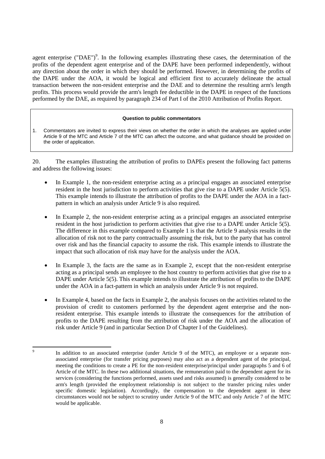agent enterprise ("DAE")<sup>9</sup>. In the following examples illustrating these cases, the determination of the profits of the dependent agent enterprise and of the DAPE have been performed independently, without any direction about the order in which they should be performed. However, in determining the profits of the DAPE under the AOA, it would be logical and efficient first to accurately delineate the actual transaction between the non-resident enterprise and the DAE and to determine the resulting arm's length profits. This process would provide the arm's length fee deductible in the DAPE in respect of the functions performed by the DAE, as required by paragraph 234 of Part I of the 2010 Attribution of Profits Report.

#### **Question to public commentators**

1. Commentators are invited to express their views on whether the order in which the analyses are applied under Article 9 of the MTC and Article 7 of the MTC can affect the outcome, and what guidance should be provided on the order of application.

20. The examples illustrating the attribution of profits to DAPEs present the following fact patterns and address the following issues:

- In Example 1, the non-resident enterprise acting as a principal engages an associated enterprise resident in the host jurisdiction to perform activities that give rise to a DAPE under Article 5(5). This example intends to illustrate the attribution of profits to the DAPE under the AOA in a factpattern in which an analysis under Article 9 is also required.
- In Example 2, the non-resident enterprise acting as a principal engages an associated enterprise resident in the host jurisdiction to perform activities that give rise to a DAPE under Article 5(5). The difference in this example compared to Example 1 is that the Article 9 analysis results in the allocation of risk not to the party contractually assuming the risk, but to the party that has control over risk and has the financial capacity to assume the risk. This example intends to illustrate the impact that such allocation of risk may have for the analysis under the AOA.
- In Example 3, the facts are the same as in Example 2, except that the non-resident enterprise acting as a principal sends an employee to the host country to perform activities that give rise to a DAPE under Article 5(5). This example intends to illustrate the attribution of profits to the DAPE under the AOA in a fact-pattern in which an analysis under Article 9 is not required.
- In Example 4, based on the facts in Example 2, the analysis focuses on the activities related to the provision of credit to customers performed by the dependent agent enterprise and the nonresident enterprise. This example intends to illustrate the consequences for the attribution of profits to the DAPE resulting from the attribution of risk under the AOA and the allocation of risk under Article 9 (and in particular Section D of Chapter I of the Guidelines).

<sup>-&</sup>lt;br>9 In addition to an associated enterprise (under Article 9 of the MTC), an employee or a separate nonassociated enterprise (for transfer pricing purposes) may also act as a dependent agent of the principal, meeting the conditions to create a PE for the non-resident enterprise/principal under paragraphs 5 and 6 of Article of the MTC. In these two additional situations, the remuneration paid to the dependent agent for its services (considering the functions performed, assets used and risks assumed) is generally considered to be arm's length (provided the employment relationship is not subject to the transfer pricing rules under specific domestic legislation). Accordingly, the compensation to the dependent agent in these circumstances would not be subject to scrutiny under Article 9 of the MTC and only Article 7 of the MTC would be applicable.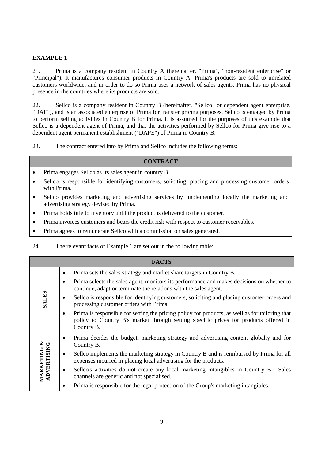# **EXAMPLE 1**

21. Prima is a company resident in Country A (hereinafter, "Prima", "non-resident enterprise" or "Principal"). It manufactures consumer products in Country A. Prima's products are sold to unrelated customers worldwide, and in order to do so Prima uses a network of sales agents. Prima has no physical presence in the countries where its products are sold.

22. Sellco is a company resident in Country B (hereinafter, "Sellco" or dependent agent enterprise, "DAE"), and is an associated enterprise of Prima for transfer pricing purposes. Sellco is engaged by Prima to perform selling activities in Country B for Prima. It is assumed for the purposes of this example that Sellco is a dependent agent of Prima, and that the activities performed by Sellco for Prima give rise to a dependent agent permanent establishment ("DAPE") of Prima in Country B.

23. The contract entered into by Prima and Sellco includes the following terms:

# **CONTRACT**

- Prima engages Sellco as its sales agent in country B.
- Sellco is responsible for identifying customers, soliciting, placing and processing customer orders with Prima.
- Sellco provides marketing and advertising services by implementing locally the marketing and advertising strategy devised by Prima.
- Prima holds title to inventory until the product is delivered to the customer.
- Prima invoices customers and bears the credit risk with respect to customer receivables.
- Prima agrees to remunerate Sellco with a commission on sales generated.

| 24. |  | The relevant facts of Example 1 are set out in the following table: |
|-----|--|---------------------------------------------------------------------|
|-----|--|---------------------------------------------------------------------|

|                                        |           | <b>FACTS</b>                                                                                                                                                                                          |
|----------------------------------------|-----------|-------------------------------------------------------------------------------------------------------------------------------------------------------------------------------------------------------|
|                                        | $\bullet$ | Prima sets the sales strategy and market share targets in Country B.                                                                                                                                  |
|                                        | ٠         | Prima selects the sales agent, monitors its performance and makes decisions on whether to<br>continue, adapt or terminate the relations with the sales agent.                                         |
| <b>SALES</b>                           | $\bullet$ | Sellco is responsible for identifying customers, soliciting and placing customer orders and<br>processing customer orders with Prima.                                                                 |
|                                        | $\bullet$ | Prima is responsible for setting the pricing policy for products, as well as for tailoring that<br>policy to Country B's market through setting specific prices for products offered in<br>Country B. |
|                                        | $\bullet$ | Prima decides the budget, marketing strategy and advertising content globally and for<br>Country B.                                                                                                   |
|                                        | $\bullet$ | Sellco implements the marketing strategy in Country B and is reimbursed by Prima for all<br>expenses incurred in placing local advertising for the products.                                          |
| <b>MARKETING &amp;<br/>ADVERTISING</b> | $\bullet$ | Sellco's activities do not create any local marketing intangibles in Country B.<br>Sales<br>channels are generic and not specialised.                                                                 |
|                                        | $\bullet$ | Prima is responsible for the legal protection of the Group's marketing intangibles.                                                                                                                   |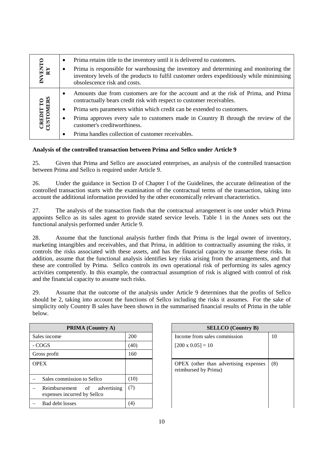| INVENTO<br>RY          | $\bullet$<br>$\bullet$ | Prima retains title to the inventory until it is delivered to customers.<br>Prima is responsible for warehousing the inventory and determining and monitoring the<br>inventory levels of the products to fulfil customer orders expeditiously while minimising<br>obsolescence risk and costs. |
|------------------------|------------------------|------------------------------------------------------------------------------------------------------------------------------------------------------------------------------------------------------------------------------------------------------------------------------------------------|
|                        | $\bullet$              | Amounts due from customers are for the account and at the risk of Prima, and Prima<br>contractually bears credit risk with respect to customer receivables.                                                                                                                                    |
|                        | $\bullet$              | Prima sets parameters within which credit can be extended to customers.                                                                                                                                                                                                                        |
| CREDIT TO<br>CUSTOMERS | $\bullet$              | Prima approves every sale to customers made in Country B through the review of the<br>customer's creditworthiness.                                                                                                                                                                             |
|                        |                        | Prima handles collection of customer receivables.                                                                                                                                                                                                                                              |

## **Analysis of the controlled transaction between Prima and Sellco under Article 9**

25. Given that Prima and Sellco are associated enterprises, an analysis of the controlled transaction between Prima and Sellco is required under Article 9.

26. Under the guidance in Section D of Chapter I of the Guidelines, the accurate delineation of the controlled transaction starts with the examination of the contractual terms of the transaction, taking into account the additional information provided by the other economically relevant characteristics.

27. The analysis of the transaction finds that the contractual arrangement is one under which Prima appoints Sellco as its sales agent to provide stated service levels. Table 1 in the Annex sets out the functional analysis performed under Article 9.

28. Assume that the functional analysis further finds that Prima is the legal owner of inventory, marketing intangibles and receivables, and that Prima, in addition to contractually assuming the risks, it controls the risks associated with these assets, and has the financial capacity to assume these risks. In addition, assume that the functional analysis identifies key risks arising from the arrangements, and that these are controlled by Prima. Sellco controls its own operational risk of performing its sales agency activities competently. In this example, the contractual assumption of risk is aligned with control of risk and the financial capacity to assume such risks.

29. Assume that the outcome of the analysis under Article 9 determines that the profits of Sellco should be 2, taking into account the functions of Sellco including the risks it assumes. For the sake of simplicity only Country B sales have been shown in the summarised financial results of Prima in the table below.

| <b>PRIMA</b> (Country A)                                          |                   |  | <b>SELLCO</b> (Country B)                                             |     |
|-------------------------------------------------------------------|-------------------|--|-----------------------------------------------------------------------|-----|
| Sales income                                                      | <b>200</b>        |  | Income from sales commission                                          | 10  |
| - COGS                                                            | (40)              |  | $[200 \times 0.05] = 10$                                              |     |
| Gross profit                                                      | 160               |  |                                                                       |     |
| <b>OPEX</b>                                                       |                   |  | <b>OPEX</b> (other than advertising expenses)<br>reimbursed by Prima) | (8) |
| Sales commission to Sellco                                        | (10)              |  |                                                                       |     |
| Reimbursement<br>advertising<br>of<br>expenses incurred by Sellco | (7)               |  |                                                                       |     |
| Bad debt losses                                                   | $\left( 4\right)$ |  |                                                                       |     |

| <b>PRIMA (Country A)</b>                        |      | <b>SELLCO</b> (Country B)                                     |     |
|-------------------------------------------------|------|---------------------------------------------------------------|-----|
|                                                 | 200  | Income from sales commission                                  | 10  |
|                                                 | (40) | $[200 \times 0.05] = 10$                                      |     |
|                                                 | 160  |                                                               |     |
|                                                 |      | OPEX (other than advertising expenses<br>reimbursed by Prima) | (8) |
| nission to Sellco                               | (10) |                                                               |     |
| advertising<br>- of<br>ment<br>curred by Sellco | (7)  |                                                               |     |
| sses                                            | (4)  |                                                               |     |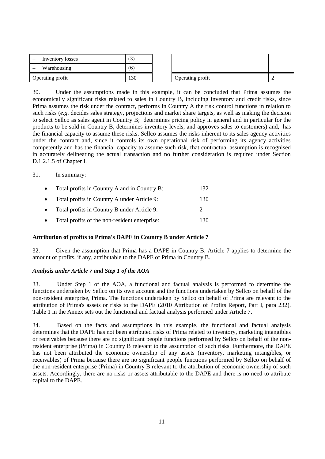| Inventory losses | $\mathcal{L}$ |                  |  |
|------------------|---------------|------------------|--|
| Warehousing      | 6)            |                  |  |
| Operating profit | 130           | Operating profit |  |

| Operating profit |  |
|------------------|--|

30. Under the assumptions made in this example, it can be concluded that Prima assumes the economically significant risks related to sales in Country B, including inventory and credit risks, since Prima assumes the risk under the contract, performs in Country A the risk control functions in relation to such risks (*e.g*. decides sales strategy, projections and market share targets, as well as making the decision to select Sellco as sales agent in Country B; determines pricing policy in general and in particular for the products to be sold in Country B, determines inventory levels, and approves sales to customers) and, has the financial capacity to assume these risks. Sellco assumes the risks inherent to its sales agency activities under the contract and, since it controls its own operational risk of performing its agency activities competently and has the financial capacity to assume such risk, that contractual assumption is recognised in accurately delineating the actual transaction and no further consideration is required under Section D.1.2.1.5 of Chapter I.

#### 31. In summary:

| • Total profits in Country A and in Country B:  | 132           |
|-------------------------------------------------|---------------|
| • Total profits in Country A under Article 9:   | 130           |
| • Total profits in Country B under Article 9:   | $\mathcal{D}$ |
| • Total profits of the non-resident enterprise: | 130           |

## **Attribution of profits to Prima's DAPE in Country B under Article 7**

32. Given the assumption that Prima has a DAPE in Country B, Article 7 applies to determine the amount of profits, if any, attributable to the DAPE of Prima in Country B.

## *Analysis under Article 7 and Step 1 of the AOA*

33. Under Step 1 of the AOA, a functional and factual analysis is performed to determine the functions undertaken by Sellco on its own account and the functions undertaken by Sellco on behalf of the non-resident enterprise, Prima. The functions undertaken by Sellco on behalf of Prima are relevant to the attribution of Prima's assets or risks to the DAPE (2010 Attribution of Profits Report, Part I, para 232). Table 1 in the Annex sets out the functional and factual analysis performed under Article 7.

34. Based on the facts and assumptions in this example, the functional and factual analysis determines that the DAPE has not been attributed risks of Prima related to inventory, marketing intangibles or receivables because there are no significant people functions performed by Sellco on behalf of the nonresident enterprise (Prima) in Country B relevant to the assumption of such risks. Furthermore, the DAPE has not been attributed the economic ownership of any assets (inventory, marketing intangibles, or receivables) of Prima because there are no significant people functions performed by Sellco on behalf of the non-resident enterprise (Prima) in Country B relevant to the attribution of economic ownership of such assets. Accordingly, there are no risks or assets attributable to the DAPE and there is no need to attribute capital to the DAPE.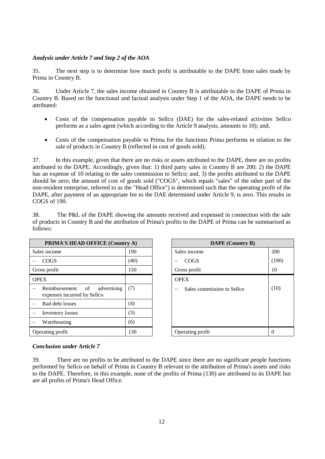## *Analysis under Article 7 and Step 2 of the AOA*

35. The next step is to determine how much profit is attributable to the DAPE from sales made by Prima in Country B.

36. Under Article 7, the sales income obtained in Country B is attributable to the DAPE of Prima in Country B. Based on the functional and factual analysis under Step 1 of the AOA, the DAPE needs to be attributed:

- Costs of the compensation payable to Sellco (DAE) for the sales-related activities Sellco performs as a sales agent (which according to the Article 9 analysis, amounts to 10); and,
- Costs of the compensation payable to Prima for the functions Prima performs in relation to the sale of products in Country B (reflected in cost of goods sold).

37. In this example, given that there are no risks or assets attributed to the DAPE, there are no profits attributed to the DAPE. Accordingly, given that: 1) third party sales in Country B are 200; 2) the DAPE has an expense of 10 relating to the sales commission to Sellco; and, 3) the profits attributed to the DAPE should be zero, the amount of cost of goods sold ("COGS", which equals "sales" of the other part of the non-resident enterprise, referred to as the "Head Office") is determined such that the operating profit of the DAPE, after payment of an appropriate fee to the DAE determined under Article 9, is zero. This results in COGS of 190.

| 38.      | The P&L of the DAPE showing the amounts received and expensed in connection with the sale                 |
|----------|-----------------------------------------------------------------------------------------------------------|
| follows: | of products in Country B and the attribution of Prima's profits to the DAPE of Prima can be summarised as |
|          |                                                                                                           |

| PRIMA'S HEAD OFFICE (Country A)                                   |      |  | <b>DAPE</b> (Country B)    |                    |
|-------------------------------------------------------------------|------|--|----------------------------|--------------------|
| Sales income                                                      | 190  |  | Sales income               | 200                |
| <b>COGS</b>                                                       | (40) |  | COGS                       | $\left(190\right)$ |
| Gross profit                                                      | 150  |  | Gross profit               | 10                 |
| <b>OPEX</b>                                                       |      |  | <b>OPEX</b>                |                    |
| Reimbursement<br>advertising<br>of<br>expenses incurred by Sellco | (7)  |  | Sales commission to Sellco | (10)               |
| Bad debt losses                                                   | (4)  |  |                            |                    |
| <b>Inventory losses</b>                                           | (3)  |  |                            |                    |
| Warehousing                                                       | (6)  |  |                            |                    |
| Operating profit                                                  | 130  |  | Operating profit           | $\Omega$           |

| y(A) | <b>DAPE</b> (Country B)    |       |  |  |  |
|------|----------------------------|-------|--|--|--|
| 190  | Sales income               | 200   |  |  |  |
| (40) | COGS                       | (190) |  |  |  |
| 150  | Gross profit               | 10    |  |  |  |
|      | <b>OPEX</b>                |       |  |  |  |
| (7)  | Sales commission to Sellco | (10)  |  |  |  |
| (4)  |                            |       |  |  |  |
| (3)  |                            |       |  |  |  |
| (6)  |                            |       |  |  |  |
| 130  | Operating profit           | 0     |  |  |  |

## *Conclusion under Article 7*

39. There are no profits to be attributed to the DAPE since there are no significant people functions performed by Sellco on behalf of Prima in Country B relevant to the attribution of Prima's assets and risks to the DAPE. Therefore, in this example, none of the profits of Prima (130) are attributed to its DAPE but are all profits of Prima's Head Office.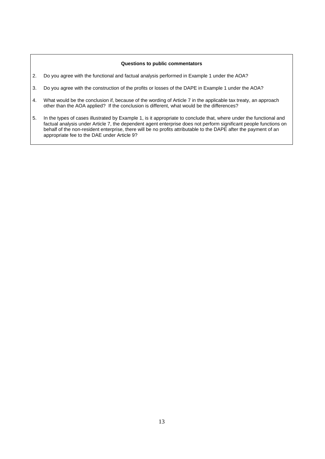#### **Questions to public commentators**

- 2. Do you agree with the functional and factual analysis performed in Example 1 under the AOA?
- 3. Do you agree with the construction of the profits or losses of the DAPE in Example 1 under the AOA?
- 4. What would be the conclusion if, because of the wording of Article 7 in the applicable tax treaty, an approach other than the AOA applied? If the conclusion is different, what would be the differences?
- 5. In the types of cases illustrated by Example 1, is it appropriate to conclude that, where under the functional and factual analysis under Article 7, the dependent agent enterprise does not perform significant people functions on behalf of the non-resident enterprise, there will be no profits attributable to the DAPE after the payment of an appropriate fee to the DAE under Article 9?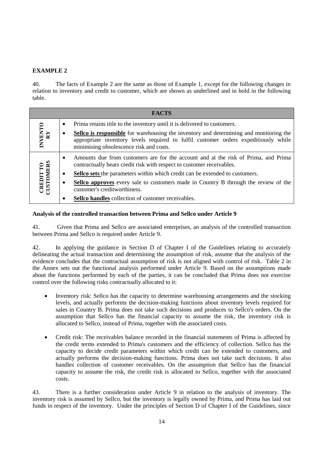# **EXAMPLE 2**

40. The facts of Example 2 are the same as those of Example 1, except for the following changes in relation to inventory and credit to customer, which are shown as underlined and in bold in the following table.

|                        |           | <b>FACTS</b>                                                                                                                                                                                                             |
|------------------------|-----------|--------------------------------------------------------------------------------------------------------------------------------------------------------------------------------------------------------------------------|
|                        | $\bullet$ | Prima retains title to the inventory until it is delivered to customers.                                                                                                                                                 |
| INVENTO<br>RY          | $\bullet$ | Sellco is responsible for warehousing the inventory and determining and monitoring the<br>appropriate inventory levels required to fulfil customer orders expeditiously while<br>minimising obsolescence risk and costs. |
|                        | $\bullet$ | Amounts due from customers are for the account and at the risk of Prima, and Prima<br>contractually bears credit risk with respect to customer receivables.                                                              |
|                        | $\bullet$ | <b>Sellco sets</b> the parameters within which credit can be extended to customers.                                                                                                                                      |
| CREDIT TO<br>CUSTOMERS | $\bullet$ | <b>Sellco approves</b> every sale to customers made in Country B through the review of the<br>customer's creditworthiness.                                                                                               |
|                        |           | Sellco handles collection of customer receivables.                                                                                                                                                                       |

## **Analysis of the controlled transaction between Prima and Sellco under Article 9**

41. Given that Prima and Sellco are associated enterprises, an analysis of the controlled transaction between Prima and Sellco is required under Article 9.

42. In applying the guidance in Section D of Chapter I of the Guidelines relating to accurately delineating the actual transaction and determining the assumption of risk, assume that the analysis of the evidence concludes that the contractual assumption of risk is not aligned with control of risk. Table 2 in the Annex sets out the functional analysis performed under Article 9. Based on the assumptions made about the functions performed by each of the parties, it can be concluded that Prima does not exercise control over the following risks contractually allocated to it:

- Inventory risk: Sellco has the capacity to determine warehousing arrangements and the stocking levels, and actually performs the decision-making functions about inventory levels required for sales in Country B. Prima does not take such decisions and produces to Sellco's orders. On the assumption that Sellco has the financial capacity to assume the risk, the inventory risk is allocated to Sellco, instead of Prima, together with the associated costs.
- Credit risk: The receivables balance recorded in the financial statements of Prima is affected by the credit terms extended to Prima's customers and the efficiency of collection. Sellco has the capacity to decide credit parameters within which credit can be extended to customers, and actually performs the decision-making functions. Prima does not take such decisions. It also handles collection of customer receivables. On the assumption that Sellco has the financial capacity to assume the risk, the credit risk is allocated to Sellco, together with the associated costs.

43. There is a further consideration under Article 9 in relation to the analysis of inventory. The inventory risk is assumed by Sellco, but the inventory is legally owned by Prima, and Prima has laid out funds in respect of the inventory. Under the principles of Section D of Chapter I of the Guidelines, since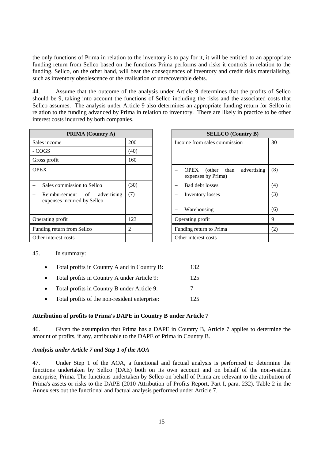the only functions of Prima in relation to the inventory is to pay for it, it will be entitled to an appropriate funding return from Sellco based on the functions Prima performs and risks it controls in relation to the funding. Sellco, on the other hand, will bear the consequences of inventory and credit risks materialising, such as inventory obsolescence or the realisation of unrecoverable debts.

44. Assume that the outcome of the analysis under Article 9 determines that the profits of Sellco should be 9, taking into account the functions of Sellco including the risks and the associated costs that Sellco assumes. The analysis under Article 9 also determines an appropriate funding return for Sellco in relation to the funding advanced by Prima in relation to inventory. There are likely in practice to be other interest costs incurred by both companies.

| <b>PRIMA (Country A)</b>                                          |      | <b>SELLCO</b> (Country B)                                          |     |
|-------------------------------------------------------------------|------|--------------------------------------------------------------------|-----|
| Sales income                                                      | 200  | Income from sales commission                                       |     |
| - COGS                                                            | (40) |                                                                    |     |
| Gross profit                                                      | 160  |                                                                    |     |
| <b>OPEX</b>                                                       |      | advertising<br><b>OPEX</b><br>(other<br>than<br>expenses by Prima) | (8) |
| Sales commission to Sellco                                        | (30) | Bad debt losses                                                    | (4) |
| Reimbursement<br>advertising<br>of<br>expenses incurred by Sellco | (7)  | Inventory losses                                                   | (3) |
|                                                                   |      | Warehousing                                                        | (6) |
| Operating profit                                                  | 123  | Operating profit                                                   | 9   |
| Funding return from Sellco                                        | 2    | Funding return to Prima                                            |     |
| Other interest costs                                              |      | Other interest costs                                               |     |

|      | <b>SELLCO</b> (Country B)                                          |     |  |  |  |  |
|------|--------------------------------------------------------------------|-----|--|--|--|--|
| 200  | Income from sales commission                                       | 30  |  |  |  |  |
| (40) |                                                                    |     |  |  |  |  |
| 160  |                                                                    |     |  |  |  |  |
|      | <b>OPEX</b><br>(other<br>than<br>advertising<br>expenses by Prima) | (8) |  |  |  |  |
| (30) | Bad debt losses                                                    | (4) |  |  |  |  |
| (7)  | Inventory losses                                                   | (3) |  |  |  |  |
|      | Warehousing                                                        | (6) |  |  |  |  |
| 123  | Operating profit                                                   | 9   |  |  |  |  |
| 2    | Funding return to Prima                                            | (2) |  |  |  |  |
|      | Other interest costs                                               |     |  |  |  |  |

#### 45. In summary:

|  | Total profits in Country A and in Country B: |  |  | 132 |
|--|----------------------------------------------|--|--|-----|
|--|----------------------------------------------|--|--|-----|

- Total profits in Country A under Article 9: 125
- Total profits in Country B under Article 9: 7
- Total profits of the non-resident enterprise: 125

#### **Attribution of profits to Prima's DAPE in Country B under Article 7**

46. Given the assumption that Prima has a DAPE in Country B, Article 7 applies to determine the amount of profits, if any, attributable to the DAPE of Prima in Country B.

#### *Analysis under Article 7 and Step 1 of the AOA*

47. Under Step 1 of the AOA, a functional and factual analysis is performed to determine the functions undertaken by Sellco (DAE) both on its own account and on behalf of the non-resident enterprise, Prima. The functions undertaken by Sellco on behalf of Prima are relevant to the attribution of Prima's assets or risks to the DAPE (2010 Attribution of Profits Report, Part I, para. 232). Table 2 in the Annex sets out the functional and factual analysis performed under Article 7.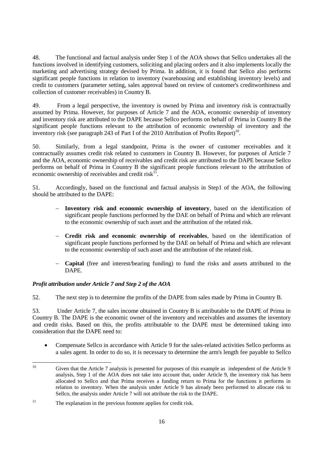48. The functional and factual analysis under Step 1 of the AOA shows that Sellco undertakes all the functions involved in identifying customers, soliciting and placing orders and it also implements locally the marketing and advertising strategy devised by Prima. In addition, it is found that Sellco also performs significant people functions in relation to inventory (warehousing and establishing inventory levels) and credit to customers (parameter setting, sales approval based on review of customer's creditworthiness and collection of customer receivables) in Country B.

49. From a legal perspective, the inventory is owned by Prima and inventory risk is contractually assumed by Prima. However, for purposes of Article 7 and the AOA, economic ownership of inventory and inventory risk are attributed to the DAPE because Sellco performs on behalf of Prima in Country B the significant people functions relevant to the attribution of economic ownership of inventory and the inventory risk (see paragraph 243 of Part I of the 2010 Attribution of Profits Report)<sup>10</sup>.

50. Similarly, from a legal standpoint, Prima is the owner of customer receivables and it contractually assumes credit risk related to customers in Country B. However, for purposes of Article 7 and the AOA, economic ownership of receivables and credit risk are attributed to the DAPE because Sellco performs on behalf of Prima in Country B the significant people functions relevant to the attribution of economic ownership of receivables and credit risk $^{11}$ .

51. Accordingly, based on the functional and factual analysis in Step1 of the AOA, the following should be attributed to the DAPE:

- **Inventory risk and economic ownership of inventory**, based on the identification of significant people functions performed by the DAE on behalf of Prima and which are relevant to the economic ownership of such asset and the attribution of the related risk.
- **Credit risk and economic ownership of receivables**, based on the identification of significant people functions performed by the DAE on behalf of Prima and which are relevant to the economic ownership of such asset and the attribution of the related risk.
- **Capital** (free and interest/bearing funding) to fund the risks and assets attributed to the DAPE.

# *Profit attribution under Article 7 and Step 2 of the AOA*

52. The next step is to determine the profits of the DAPE from sales made by Prima in Country B.

53. Under Article 7, the sales income obtained in Country B is attributable to the DAPE of Prima in Country B. The DAPE is the economic owner of the inventory and receivables and assumes the inventory and credit risks. Based on this, the profits attributable to the DAPE must be determined taking into consideration that the DAPE need to:

 Compensate Sellco in accordance with Article 9 for the sales-related activities Sellco performs as a sales agent. In order to do so, it is necessary to determine the arm's length fee payable to Sellco

 $10<sup>10</sup>$ Given that the Article 7 analysis is presented for purposes of this example as independent of the Article 9 analysis, Step 1 of the AOA does not take into account that, under Article 9, the inventory risk has been allocated to Sellco and that Prima receives a funding return to Prima for the functions it performs in relation to inventory. When the analysis under Article 9 has already been performed to allocate risk to Sellco, the analysis under Article 7 will not attribute the risk to the DAPE.

 $11$  The explanation in the previous footnote applies for credit risk.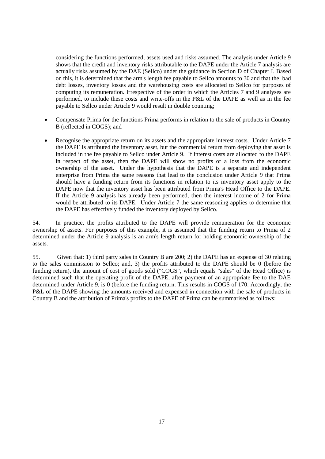considering the functions performed, assets used and risks assumed. The analysis under Article 9 shows that the credit and inventory risks attributable to the DAPE under the Article 7 analysis are actually risks assumed by the DAE (Sellco) under the guidance in Section D of Chapter I. Based on this, it is determined that the arm's length fee payable to Sellco amounts to 30 and that the bad debt losses, inventory losses and the warehousing costs are allocated to Sellco for purposes of computing its remuneration. Irrespective of the order in which the Articles 7 and 9 analyses are performed, to include these costs and write-offs in the P&L of the DAPE as well as in the fee payable to Sellco under Article 9 would result in double counting;

- Compensate Prima for the functions Prima performs in relation to the sale of products in Country B (reflected in COGS); and
- Recognise the appropriate return on its assets and the appropriate interest costs. Under Article 7 the DAPE is attributed the inventory asset, but the commercial return from deploying that asset is included in the fee payable to Sellco under Article 9. If interest costs are allocated to the DAPE in respect of the asset, then the DAPE will show no profits or a loss from the economic ownership of the asset. Under the hypothesis that the DAPE is a separate and independent enterprise from Prima the same reasons that lead to the conclusion under Article 9 that Prima should have a funding return from its functions in relation to its inventory asset apply to the DAPE now that the inventory asset has been attributed from Prima's Head Office to the DAPE. If the Article 9 analysis has already been performed, then the interest income of 2 for Prima would be attributed to its DAPE. Under Article 7 the same reasoning applies to determine that the DAPE has effectively funded the inventory deployed by Sellco.

54. In practice, the profits attributed to the DAPE will provide remuneration for the economic ownership of assets. For purposes of this example, it is assumed that the funding return to Prima of 2 determined under the Article 9 analysis is an arm's length return for holding economic ownership of the assets.

55. Given that: 1) third party sales in Country B are 200; 2) the DAPE has an expense of 30 relating to the sales commission to Sellco; and, 3) the profits attributed to the DAPE should be 0 (before the funding return), the amount of cost of goods sold ("COGS", which equals "sales" of the Head Office) is determined such that the operating profit of the DAPE, after payment of an appropriate fee to the DAE determined under Article 9, is 0 (before the funding return. This results in COGS of 170. Accordingly, the P&L of the DAPE showing the amounts received and expensed in connection with the sale of products in Country B and the attribution of Prima's profits to the DAPE of Prima can be summarised as follows: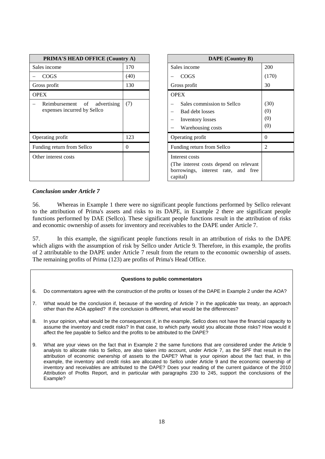| PRIMA'S HEAD OFFICE (Country A)                                   |          | <b>DAPE</b> (Country B)                                                                                     |                           |
|-------------------------------------------------------------------|----------|-------------------------------------------------------------------------------------------------------------|---------------------------|
| Sales income                                                      | 170      | Sales income                                                                                                | 200                       |
| <b>COGS</b>                                                       | (40)     | <b>COGS</b>                                                                                                 | (170)                     |
| Gross profit                                                      | 130      | Gross profit                                                                                                | 30                        |
| <b>OPEX</b>                                                       |          | <b>OPEX</b>                                                                                                 |                           |
| Reimbursement<br>of<br>advertising<br>expenses incurred by Sellco | (7)      | Sales commission to Sellco<br>Bad debt losses<br>Inventory losses<br>Warehousing costs                      | (30)<br>(0)<br>(0)<br>(0) |
| Operating profit                                                  | 123      | Operating profit                                                                                            | $\Omega$                  |
| Funding return from Sellco                                        | $\Omega$ | Funding return from Sellco                                                                                  | 2                         |
| Other interest costs                                              |          | Interest costs<br>(The interest costs depend on relevant<br>borrowings, interest rate, and free<br>capital) |                           |

| y(A) | <b>DAPE</b> (Country B)                                                                                     |                           |  |  |  |
|------|-------------------------------------------------------------------------------------------------------------|---------------------------|--|--|--|
| 170  | Sales income                                                                                                | 200                       |  |  |  |
| (40) | COGS                                                                                                        | (170)                     |  |  |  |
| 130  | Gross profit                                                                                                | 30                        |  |  |  |
|      | <b>OPEX</b>                                                                                                 |                           |  |  |  |
| (7)  | Sales commission to Sellco<br><b>Bad debt losses</b><br>Inventory losses<br>Warehousing costs               | (30)<br>(0)<br>(0)<br>(0) |  |  |  |
| 123  | Operating profit                                                                                            | 0                         |  |  |  |
| 0    | Funding return from Sellco                                                                                  | 2                         |  |  |  |
|      | Interest costs<br>(The interest costs depend on relevant<br>borrowings, interest rate, and free<br>capital) |                           |  |  |  |

# *Conclusion under Article 7*

56. Whereas in Example 1 there were no significant people functions performed by Sellco relevant to the attribution of Prima's assets and risks to its DAPE, in Example 2 there are significant people functions performed by DAE (Sellco). These significant people functions result in the attribution of risks and economic ownership of assets for inventory and receivables to the DAPE under Article 7.

57. In this example, the significant people functions result in an attribution of risks to the DAPE which aligns with the assumption of risk by Sellco under Article 9. Therefore, in this example, the profits of 2 attributable to the DAPE under Article 7 result from the return to the economic ownership of assets. The remaining profits of Prima (123) are profits of Prima's Head Office.

#### **Questions to public commentators**

- 6. Do commentators agree with the construction of the profits or losses of the DAPE in Example 2 under the AOA?
- 7. What would be the conclusion if, because of the wording of Article 7 in the applicable tax treaty, an approach other than the AOA applied? If the conclusion is different, what would be the differences?
- 8. In your opinion, what would be the consequences if, in the example, Sellco does not have the financial capacity to assume the inventory and credit risks? In that case, to which party would you allocate those risks? How would it affect the fee payable to Sellco and the profits to be attributed to the DAPE?
- 9. What are your views on the fact that in Example 2 the same functions that are considered under the Article 9 analysis to allocate risks to Sellco, are also taken into account, under Article 7, as the SPF that result in the attribution of economic ownership of assets to the DAPE? What is your opinion about the fact that, in this example, the inventory and credit risks are allocated to Sellco under Article 9 and the economic ownership of inventory and receivables are attributed to the DAPE? Does your reading of the current guidance of the 2010 Attribution of Profits Report, and in particular with paragraphs 230 to 245, support the conclusions of the Example?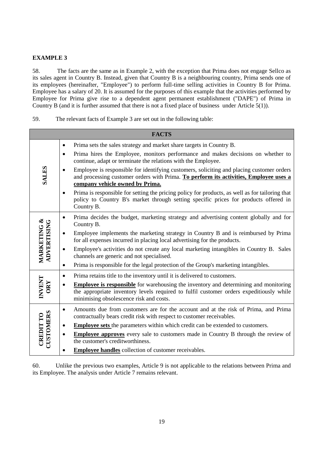# **EXAMPLE 3**

58. The facts are the same as in Example 2, with the exception that Prima does not engage Sellco as its sales agent in Country B. Instead, given that Country B is a neighbouring country, Prima sends one of its employees (hereinafter, "Employee") to perform full-time selling activities in Country B for Prima. Employee has a salary of 20. It is assumed for the purposes of this example that the activities performed by Employee for Prima give rise to a dependent agent permanent establishment ("DAPE") of Prima in Country B (and it is further assumed that there is not a fixed place of business under Article 5(1)).

59. The relevant facts of Example 3 are set out in the following table:

|                                      | <b>FACTS</b>                                                                                                                                                                                                                                   |
|--------------------------------------|------------------------------------------------------------------------------------------------------------------------------------------------------------------------------------------------------------------------------------------------|
|                                      | Prima sets the sales strategy and market share targets in Country B.<br>$\bullet$<br>Prima hires the Employee, monitors performance and makes decisions on whether to<br>$\bullet$                                                             |
|                                      | continue, adapt or terminate the relations with the Employee.                                                                                                                                                                                  |
| <b>SALES</b>                         | Employee is responsible for identifying customers, soliciting and placing customer orders<br>$\bullet$<br>and processing customer orders with Prima. To perform its activities, Employee uses a<br>company vehicle owned by Prima.             |
|                                      | Prima is responsible for setting the pricing policy for products, as well as for tailoring that<br>٠<br>policy to Country B's market through setting specific prices for products offered in<br>Country B.                                     |
|                                      | Prima decides the budget, marketing strategy and advertising content globally and for<br>$\bullet$<br>Country B.                                                                                                                               |
| MARKETING &<br><b>ADVERTISING</b>    | Employee implements the marketing strategy in Country B and is reimbursed by Prima<br>$\bullet$<br>for all expenses incurred in placing local advertising for the products.                                                                    |
|                                      | Employee's activities do not create any local marketing intangibles in Country B. Sales<br>$\bullet$<br>channels are generic and not specialised.                                                                                              |
|                                      | Prima is responsible for the legal protection of the Group's marketing intangibles.<br>$\bullet$                                                                                                                                               |
|                                      | Prima retains title to the inventory until it is delivered to customers.<br>$\bullet$                                                                                                                                                          |
| INVENT<br>ORY                        | <b>Employee is responsible</b> for warehousing the inventory and determining and monitoring<br>$\bullet$<br>the appropriate inventory levels required to fulfil customer orders expeditiously while<br>minimising obsolescence risk and costs. |
|                                      | Amounts due from customers are for the account and at the risk of Prima, and Prima<br>$\bullet$<br>contractually bears credit risk with respect to customer receivables.                                                                       |
|                                      | <b>Employee sets</b> the parameters within which credit can be extended to customers.<br>$\bullet$                                                                                                                                             |
| <b>CUSTOMERS</b><br><b>CREDIT TO</b> | <b>Employee approves</b> every sale to customers made in Country B through the review of<br>٠<br>the customer's creditworthiness.                                                                                                              |
|                                      | <b>Employee handles</b> collection of customer receivables.                                                                                                                                                                                    |

60. Unlike the previous two examples, Article 9 is not applicable to the relations between Prima and its Employee. The analysis under Article 7 remains relevant.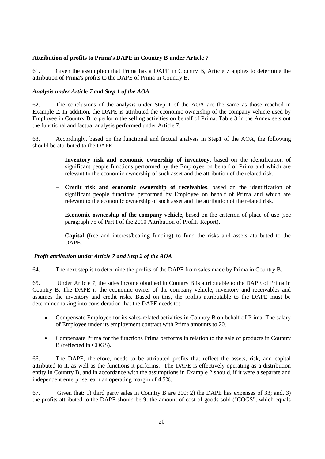# **Attribution of profits to Prima's DAPE in Country B under Article 7**

61. Given the assumption that Prima has a DAPE in Country B, Article 7 applies to determine the attribution of Prima's profits to the DAPE of Prima in Country B.

# *Analysis under Article 7 and Step 1 of the AOA*

62. The conclusions of the analysis under Step 1 of the AOA are the same as those reached in Example 2. In addition, the DAPE is attributed the economic ownership of the company vehicle used by Employee in Country B to perform the selling activities on behalf of Prima. Table 3 in the Annex sets out the functional and factual analysis performed under Article 7.

63. Accordingly, based on the functional and factual analysis in Step1 of the AOA, the following should be attributed to the DAPE:

- **Inventory risk and economic ownership of inventory**, based on the identification of significant people functions performed by the Employee on behalf of Prima and which are relevant to the economic ownership of such asset and the attribution of the related risk.
- **Credit risk and economic ownership of receivables**, based on the identification of significant people functions performed by Employee on behalf of Prima and which are relevant to the economic ownership of such asset and the attribution of the related risk.
- **Economic ownership of the company vehicle,** based on the criterion of place of use (see paragraph 75 of Part I of the 2010 Attribution of Profits Report)**.**
- **Capital** (free and interest/bearing funding) to fund the risks and assets attributed to the DAPE.

## *Profit attribution under Article 7 and Step 2 of the AOA*

64. The next step is to determine the profits of the DAPE from sales made by Prima in Country B.

65. Under Article 7, the sales income obtained in Country B is attributable to the DAPE of Prima in Country B. The DAPE is the economic owner of the company vehicle, inventory and receivables and assumes the inventory and credit risks. Based on this, the profits attributable to the DAPE must be determined taking into consideration that the DAPE needs to:

- Compensate Employee for its sales-related activities in Country B on behalf of Prima. The salary of Employee under its employment contract with Prima amounts to 20.
- Compensate Prima for the functions Prima performs in relation to the sale of products in Country B (reflected in COGS).

66. The DAPE, therefore, needs to be attributed profits that reflect the assets, risk, and capital attributed to it, as well as the functions it performs. The DAPE is effectively operating as a distribution entity in Country B, and in accordance with the assumptions in Example 2 should, if it were a separate and independent enterprise, earn an operating margin of 4.5%.

67. Given that: 1) third party sales in Country B are 200; 2) the DAPE has expenses of 33; and, 3) the profits attributed to the DAPE should be 9, the amount of cost of goods sold ("COGS", which equals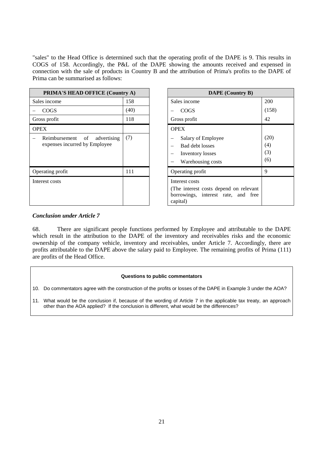"sales" to the Head Office is determined such that the operating profit of the DAPE is 9. This results in COGS of 158. Accordingly, the P&L of the DAPE showing the amounts received and expensed in connection with the sale of products in Country B and the attribution of Prima's profits to the DAPE of Prima can be summarised as follows:

| PRIMA'S HEAD OFFICE (Country A)                                     |      |  | <b>DAPE</b> (Country B)                                                                                     |                           |
|---------------------------------------------------------------------|------|--|-------------------------------------------------------------------------------------------------------------|---------------------------|
| Sales income                                                        | 158  |  | Sales income                                                                                                | 200                       |
| <b>COGS</b>                                                         | (40) |  | COGS                                                                                                        | (158)                     |
| Gross profit                                                        | 118  |  | Gross profit                                                                                                | 42                        |
| <b>OPEX</b>                                                         |      |  | <b>OPEX</b>                                                                                                 |                           |
| advertising<br>Reimbursement<br>of<br>expenses incurred by Employee | (7)  |  | Salary of Employee<br><b>Bad debt losses</b><br><b>Inventory losses</b><br>Warehousing costs                | (20)<br>(4)<br>(3)<br>(6) |
| Operating profit                                                    | 111  |  | Operating profit                                                                                            | 9                         |
| Interest costs                                                      |      |  | Interest costs<br>(The interest costs depend on relevant<br>borrowings, interest rate, and free<br>capital) |                           |

| y(A) | <b>DAPE</b> (Country B)                                                                                     |                           |  |  |  |
|------|-------------------------------------------------------------------------------------------------------------|---------------------------|--|--|--|
| 158  | Sales income                                                                                                | 200                       |  |  |  |
| (40) | COGS                                                                                                        | (158)                     |  |  |  |
| 118  | Gross profit                                                                                                | 42                        |  |  |  |
|      | <b>OPEX</b>                                                                                                 |                           |  |  |  |
| (7)  | Salary of Employee<br>Bad debt losses<br>Inventory losses<br>Warehousing costs                              | (20)<br>(4)<br>(3)<br>(6) |  |  |  |
| 111  | Operating profit                                                                                            | 9                         |  |  |  |
|      | Interest costs<br>(The interest costs depend on relevant<br>borrowings, interest rate, and free<br>capital) |                           |  |  |  |

## *Conclusion under Article 7*

68. There are significant people functions performed by Employee and attributable to the DAPE which result in the attribution to the DAPE of the inventory and receivables risks and the economic ownership of the company vehicle, inventory and receivables, under Article 7. Accordingly, there are profits attributable to the DAPE above the salary paid to Employee. The remaining profits of Prima (111) are profits of the Head Office.

#### **Questions to public commentators**

10. Do commentators agree with the construction of the profits or losses of the DAPE in Example 3 under the AOA?

11. What would be the conclusion if, because of the wording of Article 7 in the applicable tax treaty, an approach other than the AOA applied? If the conclusion is different, what would be the differences?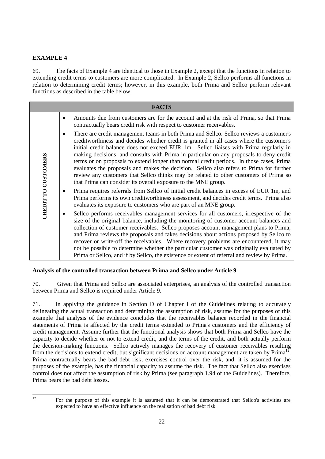# **EXAMPLE 4**

69. The facts of Example 4 are identical to those in Example 2, except that the functions in relation to extending credit terms to customers are more complicated. In Example 2, Sellco performs all functions in relation to determining credit terms; however, in this example, both Prima and Sellco perform relevant functions as described in the table below.

|                     |           | <b>FACTS</b>                                                                                                                                                                                                                                                                                                                                                                                                                                                                                                                                                                                                                                                                                                              |
|---------------------|-----------|---------------------------------------------------------------------------------------------------------------------------------------------------------------------------------------------------------------------------------------------------------------------------------------------------------------------------------------------------------------------------------------------------------------------------------------------------------------------------------------------------------------------------------------------------------------------------------------------------------------------------------------------------------------------------------------------------------------------------|
| CREDIT TO CUSTOMERS | $\bullet$ | Amounts due from customers are for the account and at the risk of Prima, so that Prima<br>contractually bears credit risk with respect to customer receivables.                                                                                                                                                                                                                                                                                                                                                                                                                                                                                                                                                           |
|                     | ٠         | There are credit management teams in both Prima and Sellco. Sellco reviews a customer's<br>creditworthiness and decides whether credit is granted in all cases where the customer's<br>initial credit balance does not exceed EUR 1m. Sellco liaises with Prima regularly in<br>making decisions, and consults with Prima in particular on any proposals to deny credit<br>terms or on proposals to extend longer than normal credit periods. In those cases, Prima<br>evaluates the proposals and makes the decision. Sellco also refers to Prima for further<br>review any customers that Sellco thinks may be related to other customers of Prima so<br>that Prima can consider its overall exposure to the MNE group. |
|                     | $\bullet$ | Prima requires referrals from Sellco of initial credit balances in excess of EUR 1m, and<br>Prima performs its own creditworthiness assessment, and decides credit terms. Prima also<br>evaluates its exposure to customers who are part of an MNE group.                                                                                                                                                                                                                                                                                                                                                                                                                                                                 |
|                     | ٠         | Sellco performs receivables management services for all customers, irrespective of the<br>size of the original balance, including the monitoring of customer account balances and<br>collection of customer receivables. Sellco proposes account management plans to Prima,<br>and Prima reviews the proposals and takes decisions about actions proposed by Sellco to<br>recover or write-off the receivables. Where recovery problems are encountered, it may<br>not be possible to determine whether the particular customer was originally evaluated by<br>Prima or Sellco, and if by Sellco, the existence or extent of referral and review by Prima.                                                                |

# **Analysis of the controlled transaction between Prima and Sellco under Article 9**

70. Given that Prima and Sellco are associated enterprises, an analysis of the controlled transaction between Prima and Sellco is required under Article 9.

71. In applying the guidance in Section D of Chapter I of the Guidelines relating to accurately delineating the actual transaction and determining the assumption of risk, assume for the purposes of this example that analysis of the evidence concludes that the receivables balance recorded in the financial statements of Prima is affected by the credit terms extended to Prima's customers and the efficiency of credit management. Assume further that the functional analysis shows that both Prima and Sellco have the capacity to decide whether or not to extend credit, and the terms of the credit, and both actually perform the decision-making functions. Sellco actively manages the recovery of customer receivables resulting from the decisions to extend credit, but significant decisions on account management are taken by  $Prima<sup>12</sup>$ . Prima contractually bears the bad debt risk, exercises control over the risk, and, it is assumed for the purposes of the example, has the financial capacity to assume the risk. The fact that Sellco also exercises control does not affect the assumption of risk by Prima (see paragraph 1.94 of the Guidelines). Therefore, Prima bears the bad debt losses.

 $12<sup>°</sup>$ 

<sup>12</sup> For the purpose of this example it is assumed that it can be demonstrated that Sellco's activities are expected to have an effective influence on the realisation of bad debt risk.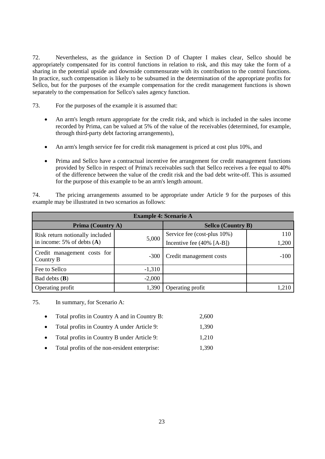72. Nevertheless, as the guidance in Section D of Chapter I makes clear, Sellco should be appropriately compensated for its control functions in relation to risk, and this may take the form of a sharing in the potential upside and downside commensurate with its contribution to the control functions. In practice, such compensation is likely to be subsumed in the determination of the appropriate profits for Sellco, but for the purposes of the example compensation for the credit management functions is shown separately to the compensation for Sellco's sales agency function.

73. For the purposes of the example it is assumed that:

- An arm's length return appropriate for the credit risk, and which is included in the sales income recorded by Prima, can be valued at 5% of the value of the receivables (determined, for example, through third-party debt factoring arrangements),
- An arm's length service fee for credit risk management is priced at cost plus 10%, and
- Prima and Sellco have a contractual incentive fee arrangement for credit management functions provided by Sellco in respect of Prima's receivables such that Sellco receives a fee equal to 40% of the difference between the value of the credit risk and the bad debt write-off. This is assumed for the purpose of this example to be an arm's length amount.

74. The pricing arrangements assumed to be appropriate under Article 9 for the purposes of this example may be illustrated in two scenarios as follows:

| <b>Example 4: Scenario A</b>             |          |                              |        |  |  |  |
|------------------------------------------|----------|------------------------------|--------|--|--|--|
| Prima (Country A)                        |          | <b>Sellco</b> (Country B)    |        |  |  |  |
| Risk return notionally included          |          | Service fee (cost-plus 10%)  | 110    |  |  |  |
| in income: $5\%$ of debts $(A)$          | 5,000    | Incentive fee $(40\%$ [A-B]) | 1,200  |  |  |  |
| Credit management costs for<br>Country B | $-300$   | Credit management costs      | $-100$ |  |  |  |
| Fee to Sellco                            | $-1,310$ |                              |        |  |  |  |
| Bad debts $(B)$                          | $-2,000$ |                              |        |  |  |  |
| Operating profit                         | 1,390    | Operating profit             | 1.210  |  |  |  |

75. In summary, for Scenario A:

- Total profits in Country A and in Country B: 2,600
- Total profits in Country A under Article 9: 1,390
- Total profits in Country B under Article 9: 1,210
- Total profits of the non-resident enterprise: 1,390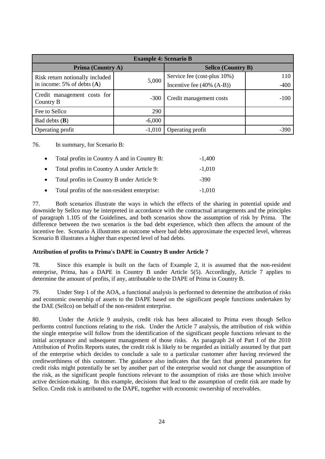| <b>Example 4: Scenario B</b>             |          |                              |        |  |  |  |
|------------------------------------------|----------|------------------------------|--------|--|--|--|
| <b>Prima (Country A)</b>                 |          | <b>Sellco</b> (Country B)    |        |  |  |  |
| Risk return notionally included          |          | Service fee (cost-plus 10%)  | 110    |  |  |  |
| in income: $5\%$ of debts $(A)$          | 5,000    | Incentive fee $(40\% (A-B))$ | $-400$ |  |  |  |
| Credit management costs for<br>Country B | $-300$   | Credit management costs      | $-100$ |  |  |  |
| Fee to Sellco                            | 290      |                              |        |  |  |  |
| Bad debts $(B)$                          | $-6,000$ |                              |        |  |  |  |
| Operating profit                         | $-1,010$ | Operating profit             | $-390$ |  |  |  |

76. In summary, for Scenario B:

Total profits in Country A and in Country B:  $-1,400$ • Total profits in Country A under Article 9: -1,010 Total profits in Country B under Article 9: -390 • Total profits of the non-resident enterprise:  $-1,010$ 

77. Both scenarios illustrate the ways in which the effects of the sharing in potential upside and downside by Sellco may be interpreted in accordance with the contractual arrangements and the principles of paragraph 1.105 of the Guidelines, and both scenarios show the assumption of risk by Prima. The difference between the two scenarios is the bad debt experience, which then affects the amount of the incentive fee. Scenario A illustrates an outcome where bad debts approximate the expected level, whereas Scenario B illustrates a higher than expected level of bad debts.

## **Attribution of profits to Prima's DAPE in Country B under Article 7**

78. Since this example is built on the facts of Example 2, it is assumed that the non-resident enterprise, Prima, has a DAPE in Country B under Article 5(5). Accordingly, Article 7 applies to determine the amount of profits, if any, attributable to the DAPE of Prima in Country B.

79. Under Step 1 of the AOA, a functional analysis is performed to determine the attribution of risks and economic ownership of assets to the DAPE based on the significant people functions undertaken by the DAE (Sellco) on behalf of the non-resident enterprise.

80. Under the Article 9 analysis, credit risk has been allocated to Prima even though Sellco performs control functions relating to the risk. Under the Article 7 analysis, the attribution of risk within the single enterprise will follow from the identification of the significant people functions relevant to the initial acceptance and subsequent management of those risks. As paragraph 24 of Part I of the 2010 Attribution of Profits Reports states, the credit risk is likely to be regarded as initially assumed by that part of the enterprise which decides to conclude a sale to a particular customer after having reviewed the creditworthiness of this customer. The guidance also indicates that the fact that general parameters for credit risks might potentially be set by another part of the enterprise would not change the assumption of the risk, as the significant people functions relevant to the assumption of risks are those which involve active decision-making. In this example, decisions that lead to the assumption of credit risk are made by Sellco. Credit risk is attributed to the DAPE, together with economic ownership of receivables.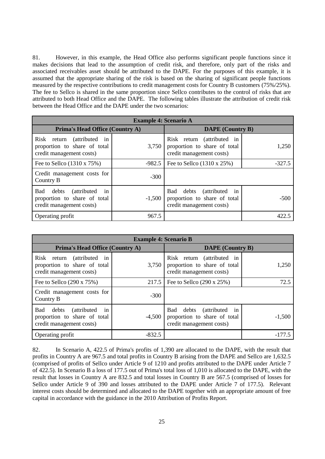81. However, in this example, the Head Office also performs significant people functions since it makes decisions that lead to the assumption of credit risk, and therefore, only part of the risks and associated receivables asset should be attributed to the DAPE. For the purposes of this example, it is assumed that the appropriate sharing of the risk is based on the sharing of significant people functions measured by the respective contributions to credit management costs for Country B customers (75%/25%). The fee to Sellco is shared in the same proportion since Sellco contributes to the control of risks that are attributed to both Head Office and the DAPE. The following tables illustrate the attribution of credit risk between the Head Office and the DAPE under the two scenarios:

| <b>Example 4: Scenario A</b>                                                                                 |          |                                                                                            |          |  |  |  |
|--------------------------------------------------------------------------------------------------------------|----------|--------------------------------------------------------------------------------------------|----------|--|--|--|
| Prima's Head Office (Country A)                                                                              |          | <b>DAPE</b> (Country B)                                                                    |          |  |  |  |
| Risk return (attributed<br>in<br>proportion to share of total<br>credit management costs)                    | 3,750    | Risk return (attributed in<br>proportion to share of total<br>credit management costs)     | 1,250    |  |  |  |
| Fee to Sellco (1310 x 75%)                                                                                   | $-982.5$ | Fee to Sellco $(1310 \times 25\%)$                                                         | $-327.5$ |  |  |  |
| Credit management costs for<br>Country B                                                                     | $-300$   |                                                                                            |          |  |  |  |
| debts<br><i>(attributed)</i><br><b>Bad</b><br>1n<br>proportion to share of total<br>credit management costs) | $-1,500$ | debts (attributed<br>Bad<br>1n<br>proportion to share of total<br>credit management costs) | $-500$   |  |  |  |
| Operating profit                                                                                             | 967.5    |                                                                                            |          |  |  |  |

| <b>Example 4: Scenario B</b>                                                                          |          |                                                                                            |          |  |  |  |  |  |
|-------------------------------------------------------------------------------------------------------|----------|--------------------------------------------------------------------------------------------|----------|--|--|--|--|--|
| <b>Prima's Head Office (Country A)</b>                                                                |          | <b>DAPE</b> (Country B)                                                                    |          |  |  |  |  |  |
| Risk return (attributed in<br>proportion to share of total<br>credit management costs)                | 3,750    | Risk return (attributed in<br>proportion to share of total<br>credit management costs)     | 1,250    |  |  |  |  |  |
| Fee to Sellco (290 x 75%)                                                                             | 217.5    | Fee to Sellco $(290 \times 25%)$                                                           | 72.5     |  |  |  |  |  |
| Credit management costs for<br>Country B                                                              | $-300$   |                                                                                            |          |  |  |  |  |  |
| <i>(attributed)</i><br>Bad<br>debts<br>1n<br>proportion to share of total<br>credit management costs) | $-4,500$ | debts (attributed<br>Bad<br>1n<br>proportion to share of total<br>credit management costs) | $-1,500$ |  |  |  |  |  |
| Operating profit                                                                                      | $-832.5$ |                                                                                            | -177.5   |  |  |  |  |  |

82. In Scenario A, 422.5 of Prima's profits of 1,390 are allocated to the DAPE, with the result that profits in Country A are 967.5 and total profits in Country B arising from the DAPE and Sellco are 1,632.5 (comprised of profits of Sellco under Article 9 of 1210 and profits attributed to the DAPE under Article 7 of 422.5). In Scenario B a loss of 177.5 out of Prima's total loss of 1,010 is allocated to the DAPE, with the result that losses in Country A are 832.5 and total losses in Country B are 567.5 (comprised of losses for Sellco under Article 9 of 390 and losses attributed to the DAPE under Article 7 of 177.5). Relevant interest costs should be determined and allocated to the DAPE together with an appropriate amount of free capital in accordance with the guidance in the 2010 Attribution of Profits Report.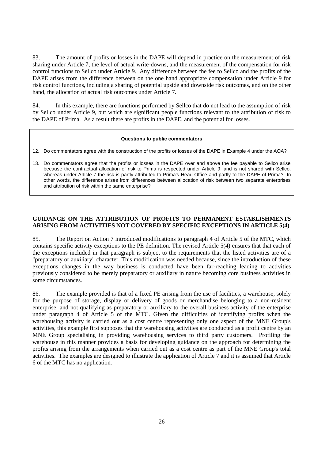83. The amount of profits or losses in the DAPE will depend in practice on the measurement of risk sharing under Article 7, the level of actual write-downs, and the measurement of the compensation for risk control functions to Sellco under Article 9. Any difference between the fee to Sellco and the profits of the DAPE arises from the difference between on the one hand appropriate compensation under Article 9 for risk control functions, including a sharing of potential upside and downside risk outcomes, and on the other hand, the allocation of actual risk outcomes under Article 7.

84. In this example, there are functions performed by Sellco that do not lead to the assumption of risk by Sellco under Article 9, but which are significant people functions relevant to the attribution of risk to the DAPE of Prima. As a result there are profits in the DAPE, and the potential for losses.

#### **Questions to public commentators**

- 12. Do commentators agree with the construction of the profits or losses of the DAPE in Example 4 under the AOA?
- 13. Do commentators agree that the profits or losses in the DAPE over and above the fee payable to Sellco arise because the contractual allocation of risk to Prima is respected under Article 9, and is not shared with Sellco, whereas under Article 7 the risk is partly attributed to Prima's Head Office and partly to the DAPE of Prima? In other words, the difference arises from differences between allocation of risk between two separate enterprises and attribution of risk within the same enterprise?

# **GUIDANCE ON THE ATTRIBUTION OF PROFITS TO PERMANENT ESTABLISHMENTS ARISING FROM ACTIVITIES NOT COVERED BY SPECIFIC EXCEPTIONS IN ARTICLE 5(4)**

85. The Report on Action 7 introduced modifications to paragraph 4 of Article 5 of the MTC, which contains specific activity exceptions to the PE definition. The revised Article 5(4) ensures that that each of the exceptions included in that paragraph is subject to the requirements that the listed activities are of a "preparatory or auxiliary" character. This modification was needed because, since the introduction of these exceptions changes in the way business is conducted have been far-reaching leading to activities previously considered to be merely preparatory or auxiliary in nature becoming core business activities in some circumstances.

86. The example provided is that of a fixed PE arising from the use of facilities, a warehouse, solely for the purpose of storage, display or delivery of goods or merchandise belonging to a non-resident enterprise, and not qualifying as preparatory or auxiliary to the overall business activity of the enterprise under paragraph 4 of Article 5 of the MTC. Given the difficulties of identifying profits when the warehousing activity is carried out as a cost centre representing only one aspect of the MNE Group's activities, this example first supposes that the warehousing activities are conducted as a profit centre by an MNE Group specialising in providing warehousing services to third party customers. Profiling the warehouse in this manner provides a basis for developing guidance on the approach for determining the profits arising from the arrangements when carried out as a cost centre as part of the MNE Group's total activities. The examples are designed to illustrate the application of Article 7 and it is assumed that Article 6 of the MTC has no application.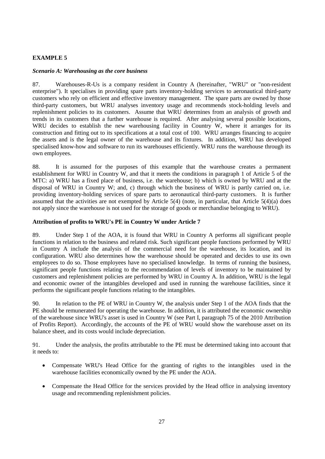# **EXAMPLE 5**

## *Scenario A: Warehousing as the core business*

87. Warehouses-R-Us is a company resident in Country A (hereinafter, "WRU" or "non-resident enterprise"). It specialises in providing spare parts inventory-holding services to aeronautical third-party customers who rely on efficient and effective inventory management. The spare parts are owned by those third-party customers, but WRU analyses inventory usage and recommends stock-holding levels and replenishment policies to its customers. Assume that WRU determines from an analysis of growth and trends in its customers that a further warehouse is required. After analysing several possible locations, WRU decides to establish the new warehousing facility in Country W, where it arranges for its construction and fitting out to its specifications at a total cost of 100. WRU arranges financing to acquire the assets and is the legal owner of the warehouse and its fixtures. In addition, WRU has developed specialised know-how and software to run its warehouses efficiently. WRU runs the warehouse through its own employees.

88. It is assumed for the purposes of this example that the warehouse creates a permanent establishment for WRU in Country W, and that it meets the conditions in paragraph 1 of Article 5 of the MTC: a) WRU has a fixed place of business, i.e. the warehouse; b) which is owned by WRU and at the disposal of WRU in Country W; and, c) through which the business of WRU is partly carried on, i.e. providing inventory-holding services of spare parts to aeronautical third-party customers. It is further assumed that the activities are not exempted by Article 5(4) (note, in particular, that Article 5(4)(a) does not apply since the warehouse is not used for the storage of goods or merchandise belonging to WRU).

# **Attribution of profits to WRU's PE in Country W under Article 7**

89. Under Step 1 of the AOA, it is found that WRU in Country A performs all significant people functions in relation to the business and related risk. Such significant people functions performed by WRU in Country A include the analysis of the commercial need for the warehouse, its location, and its configuration. WRU also determines how the warehouse should be operated and decides to use its own employees to do so. Those employees have no specialised knowledge. In terms of running the business, significant people functions relating to the recommendation of levels of inventory to be maintained by customers and replenishment policies are performed by WRU in Country A. In addition, WRU is the legal and economic owner of the intangibles developed and used in running the warehouse facilities, since it performs the significant people functions relating to the intangibles.

90. In relation to the PE of WRU in Country W, the analysis under Step 1 of the AOA finds that the PE should be remunerated for operating the warehouse. In addition, it is attributed the economic ownership of the warehouse since WRU's asset is used in Country W (see Part I, paragraph 75 of the 2010 Attribution of Profits Report). Accordingly, the accounts of the PE of WRU would show the warehouse asset on its balance sheet, and its costs would include depreciation.

91. Under the analysis, the profits attributable to the PE must be determined taking into account that it needs to:

- Compensate WRU's Head Office for the granting of rights to the intangibles used in the warehouse facilities economically owned by the PE under the AOA.
- Compensate the Head Office for the services provided by the Head office in analysing inventory usage and recommending replenishment policies.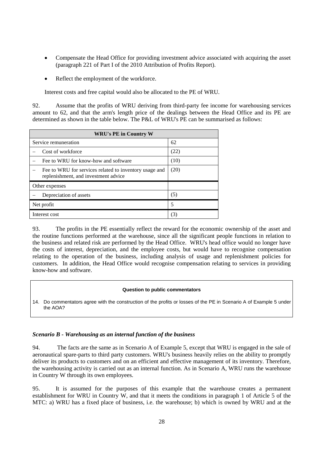- Compensate the Head Office for providing investment advice associated with acquiring the asset (paragraph 221 of Part I of the 2010 Attribution of Profits Report).
- Reflect the employment of the workforce.

Interest costs and free capital would also be allocated to the PE of WRU.

92. Assume that the profits of WRU deriving from third-party fee income for warehousing services amount to 62, and that the arm's length price of the dealings between the Head Office and its PE are determined as shown in the table below. The P&L of WRU's PE can be summarised as follows:

| <b>WRU's PE in Country W</b>                                                                   |      |  |  |  |  |
|------------------------------------------------------------------------------------------------|------|--|--|--|--|
| Service remuneration                                                                           | 62   |  |  |  |  |
| Cost of workforce                                                                              | (22) |  |  |  |  |
| Fee to WRU for know-how and software                                                           | (10) |  |  |  |  |
| Fee to WRU for services related to inventory usage and<br>replenishment, and investment advice | (20) |  |  |  |  |
| Other expenses                                                                                 |      |  |  |  |  |
| Depreciation of assets                                                                         | (5)  |  |  |  |  |
| Net profit                                                                                     | 5    |  |  |  |  |
| Interest cost                                                                                  | (3)  |  |  |  |  |

93. The profits in the PE essentially reflect the reward for the economic ownership of the asset and the routine functions performed at the warehouse, since all the significant people functions in relation to the business and related risk are performed by the Head Office. WRU's head office would no longer have the costs of interest, depreciation, and the employee costs, but would have to recognise compensation relating to the operation of the business, including analysis of usage and replenishment policies for customers. In addition, the Head Office would recognise compensation relating to services in providing know-how and software.

#### **Question to public commentators**

14. Do commentators agree with the construction of the profits or losses of the PE in Scenario A of Example 5 under the AOA?

## *Scenario B - Warehousing as an internal function of the business*

94. The facts are the same as in Scenario A of Example 5, except that WRU is engaged in the sale of aeronautical spare-parts to third party customers. WRU's business heavily relies on the ability to promptly deliver its products to customers and on an efficient and effective management of its inventory. Therefore, the warehousing activity is carried out as an internal function. As in Scenario A, WRU runs the warehouse in Country W through its own employees.

95. It is assumed for the purposes of this example that the warehouse creates a permanent establishment for WRU in Country W, and that it meets the conditions in paragraph 1 of Article 5 of the MTC: a) WRU has a fixed place of business, i.e. the warehouse; b) which is owned by WRU and at the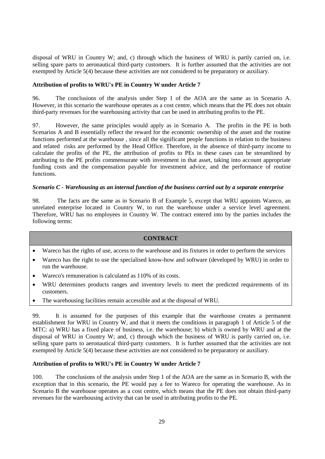disposal of WRU in Country W; and, c) through which the business of WRU is partly carried on, i.e. selling spare parts to aeronautical third-party customers. It is further assumed that the activities are not exempted by Article 5(4) because these activities are not considered to be preparatory or auxiliary.

#### **Attribution of profits to WRU's PE in Country W under Article 7**

96. The conclusions of the analysis under Step 1 of the AOA are the same as in Scenario A. However, in this scenario the warehouse operates as a cost centre, which means that the PE does not obtain third-party revenues for the warehousing activity that can be used in attributing profits to the PE.

97. However, the same principles would apply as in Scenario A. The profits in the PE in both Scenarios A and B essentially reflect the reward for the economic ownership of the asset and the routine functions performed at the warehouse , since all the significant people functions in relation to the business and related risks are performed by the Head Office. Therefore, in the absence of third-party income to calculate the profits of the PE, the attribution of profits to PEs in these cases can be streamlined by attributing to the PE profits commensurate with investment in that asset, taking into account appropriate funding costs and the compensation payable for investment advice, and the performance of routine functions.

#### *Scenario C - Warehousing as an internal function of the business carried out by a separate enterprise*

98. The facts are the same as in Scenario B of Example 5, except that WRU appoints Wareco, an unrelated enterprise located in Country W, to run the warehouse under a service level agreement. Therefore, WRU has no employees in Country W. The contract entered into by the parties includes the following terms:

#### **CONTRACT**

- Wareco has the rights of use, access to the warehouse and its fixtures in order to perform the services
- Wareco has the right to use the specialised know-how and software (developed by WRU) in order to run the warehouse.
- Wareco's remuneration is calculated as 110% of its costs.
- WRU determines products ranges and inventory levels to meet the predicted requirements of its customers.
- The warehousing facilities remain accessible and at the disposal of WRU.

99. It is assumed for the purposes of this example that the warehouse creates a permanent establishment for WRU in Country W, and that it meets the conditions in paragraph 1 of Article 5 of the MTC: a) WRU has a fixed place of business, i.e. the warehouse; b) which is owned by WRU and at the disposal of WRU in Country W; and, c) through which the business of WRU is partly carried on, i.e. selling spare parts to aeronautical third-party customers. It is further assumed that the activities are not exempted by Article 5(4) because these activities are not considered to be preparatory or auxiliary.

## **Attribution of profits to WRU's PE in Country W under Article 7**

100. The conclusions of the analysis under Step 1 of the AOA are the same as in Scenario B, with the exception that in this scenario, the PE would pay a fee to Wareco for operating the warehouse. As in Scenario B the warehouse operates as a cost centre, which means that the PE does not obtain third-party revenues for the warehousing activity that can be used in attributing profits to the PE.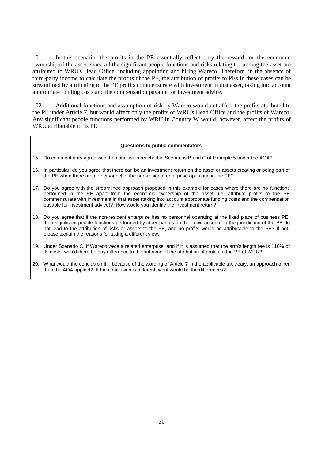101. In this scenario, the profits in the PE essentially reflect only the reward for the economic ownership of the asset, since all the significant people functions and risks relating to running the asset are attributed to WRU's Head Office, including appointing and hiring Wareco. Therefore, in the absence of third-party income to calculate the profits of the PE, the attribution of profits to PEs in these cases can be streamlined by attributing to the PE profits commensurate with investment in that asset, taking into account appropriate funding costs and the compensation payable for investment advice.

102. Additional functions and assumption of risk by Wareco would not affect the profits attributed to the PE under Article 7, but would affect only the profits of WRU's Head Office and the profits of Wareco. Any significant people functions performed by WRU in Country W would, however, affect the profits of WRU attributable to its PE.

#### **Questions to public commentators**

- 15. Do commentators agree with the conclusion reached in Scenarios B and C of Example 5 under the AOA?
- 16. In particular, do you agree that there can be an investment return on the asset or assets creating or being part of the PE when there are no personnel of the non-resident enterprise operating in the PE?
- 17. Do you agree with the streamlined approach proposed in this example for cases where there are no functions performed in the PE apart from the economic ownership of the asset, i.e. attribute profits to the PE commensurate with investment in that asset (taking into account appropriate funding costs and the compensation payable for investment advice)? How would you identify the investment return?
- 18. Do you agree that if the non-resident enterprise has no personnel operating at the fixed place of business PE, then significant people functions performed by other parties on their own account in the jurisdiction of the PE do not lead to the attribution of risks or assets to the PE, and no profits would be attributable to the PE? If not, please explain the reasons for taking a different view.
- 19. Under Scenario C, if Wareco were a related enterprise, and if it is assumed that the arm's length fee is 110% of its costs, would there be any difference to the outcome of the attribution of profits to the PE of WRU?
- 20. What would the conclusion if, , because of the wording of Article 7 in the applicable tax treaty, an approach other than the AOA applied? If the conclusion is different, what would be the differences?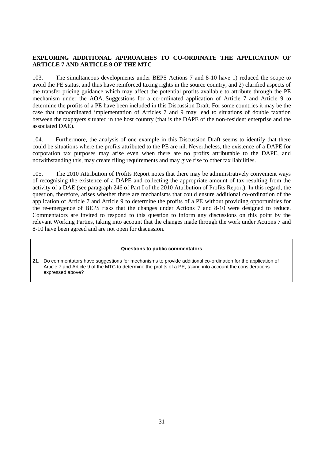# **EXPLORING ADDITIONAL APPROACHES TO CO-ORDINATE THE APPLICATION OF ARTICLE 7 AND ARTICLE 9 OF THE MTC**

103. The simultaneous developments under BEPS Actions 7 and 8-10 have 1) reduced the scope to avoid the PE status, and thus have reinforced taxing rights in the source country, and 2) clarified aspects of the transfer pricing guidance which may affect the potential profits available to attribute through the PE mechanism under the AOA. Suggestions for a co-ordinated application of Article 7 and Article 9 to determine the profits of a PE have been included in this Discussion Draft. For some countries it may be the case that uncoordinated implementation of Articles 7 and 9 may lead to situations of double taxation between the taxpayers situated in the host country (that is the DAPE of the non-resident enterprise and the associated DAE).

104. Furthermore, the analysis of one example in this Discussion Draft seems to identify that there could be situations where the profits attributed to the PE are nil. Nevertheless, the existence of a DAPE for corporation tax purposes may arise even when there are no profits attributable to the DAPE, and notwithstanding this, may create filing requirements and may give rise to other tax liabilities.

105. The 2010 Attribution of Profits Report notes that there may be administratively convenient ways of recognising the existence of a DAPE and collecting the appropriate amount of tax resulting from the activity of a DAE (see paragraph 246 of Part I of the 2010 Attribution of Profits Report). In this regard, the question, therefore, arises whether there are mechanisms that could ensure additional co-ordination of the application of Article 7 and Article 9 to determine the profits of a PE without providing opportunities for the re-emergence of BEPS risks that the changes under Actions 7 and 8-10 were designed to reduce. Commentators are invited to respond to this question to inform any discussions on this point by the relevant Working Parties, taking into account that the changes made through the work under Actions 7 and 8-10 have been agreed and are not open for discussion.

#### **Questions to public commentators**

<sup>21.</sup> Do commentators have suggestions for mechanisms to provide additional co-ordination for the application of Article 7 and Article 9 of the MTC to determine the profits of a PE, taking into account the considerations expressed above?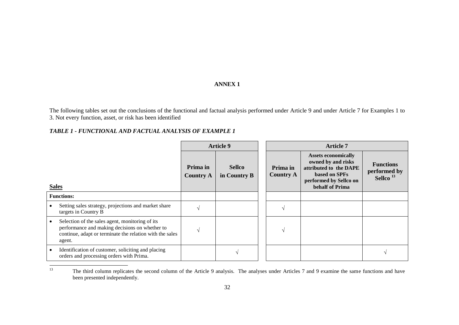# **ANNEX 1**

The following tables set out the conclusions of the functional and factual analysis performed under Article 9 and under Article 7 for Examples 1 to 3. Not every function, asset, or risk has been identified

# *TABLE 1 - FUNCTIONAL AND FACTUAL ANALYSIS OF EXAMPLE 1*

|                                                                                                                                                                         |                              | <b>Article 9</b>              | <b>Article 7</b>             |                                                                                                                                          |                                                          |
|-------------------------------------------------------------------------------------------------------------------------------------------------------------------------|------------------------------|-------------------------------|------------------------------|------------------------------------------------------------------------------------------------------------------------------------------|----------------------------------------------------------|
| <b>Sales</b>                                                                                                                                                            | Prima in<br><b>Country A</b> | <b>Sellco</b><br>in Country B | Prima in<br><b>Country A</b> | <b>Assets economically</b><br>owned by and risks<br>attributed to the DAPE<br>based on SPFs<br>performed by Sellco on<br>behalf of Prima | <b>Functions</b><br>performed by<br>Sellco <sup>13</sup> |
| <b>Functions:</b>                                                                                                                                                       |                              |                               |                              |                                                                                                                                          |                                                          |
| Setting sales strategy, projections and market share<br>targets in Country B                                                                                            |                              |                               |                              |                                                                                                                                          |                                                          |
| Selection of the sales agent, monitoring of its<br>performance and making decisions on whether to<br>continue, adapt or terminate the relation with the sales<br>agent. |                              |                               |                              |                                                                                                                                          |                                                          |
| Identification of customer, soliciting and placing<br>orders and processing orders with Prima.                                                                          |                              |                               |                              |                                                                                                                                          |                                                          |

<sup>13</sup> <sup>13</sup> The third column replicates the second column of the Article 9 analysis. The analyses under Articles 7 and 9 examine the same functions and have been presented independently.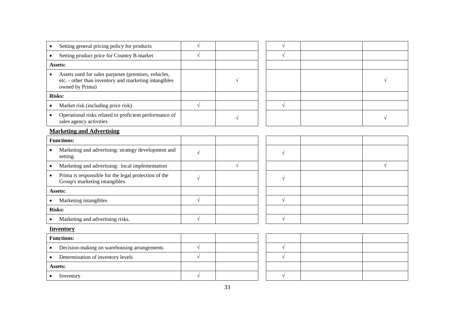| Setting general pricing policy for products                                                                                     | $\sqrt{}$  |            |            |           |
|---------------------------------------------------------------------------------------------------------------------------------|------------|------------|------------|-----------|
| Setting product price for Country B market<br>$\bullet$                                                                         | $\sqrt{}$  |            | $\sqrt{}$  |           |
| Assets:                                                                                                                         |            |            |            |           |
| Assets used for sales purposes (premises, vehicles,<br>etc. - other than inventory and marketing intangibles<br>owned by Prima) |            |            |            |           |
| <b>Risks:</b>                                                                                                                   |            |            |            |           |
| Market risk (including price risk)<br>$\bullet$                                                                                 | $\sqrt{ }$ |            | $\sqrt{}$  |           |
| Operational risks related to proficient performance of<br>$\bullet$<br>sales agency activities                                  |            | $\sqrt{ }$ |            | V         |
| <b>Marketing and Advertising</b>                                                                                                |            |            |            |           |
| <b>Functions:</b>                                                                                                               |            |            |            |           |
| Marketing and advertising: strategy development and<br>setting                                                                  | $\sqrt{ }$ |            | $\sqrt{}$  |           |
| Marketing and advertising: local implementation                                                                                 |            | $\sqrt{2}$ |            | $\sqrt{}$ |
| Prima is responsible for the legal protection of the<br>$\bullet$<br>Group's marketing intangibles                              | $\sqrt{ }$ |            | V          |           |
| Assets:                                                                                                                         |            |            |            |           |
| Marketing intangibles                                                                                                           | $\sqrt{ }$ |            | $\sqrt{}$  |           |
| <b>Risks:</b>                                                                                                                   |            |            |            |           |
| Marketing and advertising risks.                                                                                                | $\sqrt{ }$ |            | $\sqrt{}$  |           |
| <b>Inventory</b>                                                                                                                |            |            |            |           |
| <b>Functions:</b>                                                                                                               |            |            |            |           |
| Decision-making on warehousing arrangements                                                                                     | $\sqrt{}$  |            | $\sqrt{}$  |           |
| Determination of inventory levels                                                                                               | $\sqrt{}$  |            | $\sqrt{}$  |           |
| Assets:                                                                                                                         |            |            |            |           |
| Inventory<br>$\bullet$                                                                                                          | $\sqrt{}$  |            | $\sqrt{ }$ |           |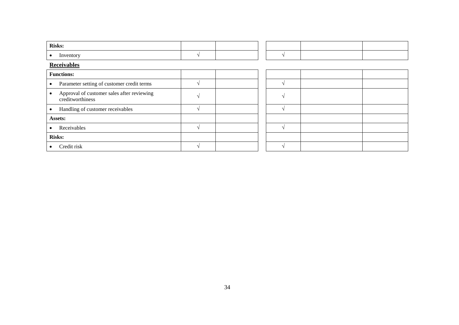| <b>Risks:</b>                                                               |  |  |  |  |  |  |
|-----------------------------------------------------------------------------|--|--|--|--|--|--|
| Inventory<br>$\bullet$                                                      |  |  |  |  |  |  |
| <b>Receivables</b>                                                          |  |  |  |  |  |  |
| <b>Functions:</b>                                                           |  |  |  |  |  |  |
| Parameter setting of customer credit terms<br>$\bullet$                     |  |  |  |  |  |  |
| Approval of customer sales after reviewing<br>$\bullet$<br>creditworthiness |  |  |  |  |  |  |
| Handling of customer receivables<br>$\bullet$                               |  |  |  |  |  |  |
| Assets:                                                                     |  |  |  |  |  |  |
| Receivables<br>$\bullet$                                                    |  |  |  |  |  |  |
| <b>Risks:</b>                                                               |  |  |  |  |  |  |
| Credit risk<br>٠                                                            |  |  |  |  |  |  |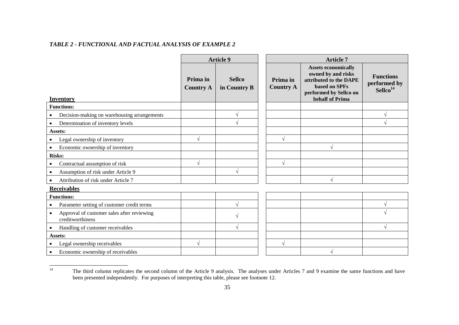# *TABLE 2 - FUNCTIONAL AND FACTUAL ANALYSIS OF EXAMPLE 2*

|                                                                             | <b>Article 9</b><br><b>Article 7</b> |                               |  |                              |                                                                                                                                          |                                                             |
|-----------------------------------------------------------------------------|--------------------------------------|-------------------------------|--|------------------------------|------------------------------------------------------------------------------------------------------------------------------------------|-------------------------------------------------------------|
| <b>Inventory</b>                                                            | Prima in<br><b>Country A</b>         | <b>Sellco</b><br>in Country B |  | Prima in<br><b>Country A</b> | <b>Assets economically</b><br>owned by and risks<br>attributed to the DAPE<br>based on SPFs<br>performed by Sellco on<br>behalf of Prima | <b>Functions</b><br>performed by<br>$S$ ellco <sup>14</sup> |
| <b>Functions:</b>                                                           |                                      |                               |  |                              |                                                                                                                                          |                                                             |
| Decision-making on warehousing arrangements                                 |                                      |                               |  |                              |                                                                                                                                          |                                                             |
| Determination of inventory levels<br>$\bullet$                              |                                      |                               |  |                              |                                                                                                                                          |                                                             |
| Assets:                                                                     |                                      |                               |  |                              |                                                                                                                                          |                                                             |
| Legal ownership of inventory                                                |                                      |                               |  |                              |                                                                                                                                          |                                                             |
| Economic ownership of inventory<br>$\bullet$                                |                                      |                               |  |                              |                                                                                                                                          |                                                             |
| <b>Risks:</b>                                                               |                                      |                               |  |                              |                                                                                                                                          |                                                             |
| Contractual assumption of risk<br>$\bullet$                                 |                                      |                               |  | V                            |                                                                                                                                          |                                                             |
| Assumption of risk under Article 9<br>$\bullet$                             |                                      |                               |  |                              |                                                                                                                                          |                                                             |
| Attribution of risk under Article 7                                         |                                      |                               |  |                              |                                                                                                                                          |                                                             |
| <b>Receivables</b>                                                          |                                      |                               |  |                              |                                                                                                                                          |                                                             |
| <b>Functions:</b>                                                           |                                      |                               |  |                              |                                                                                                                                          |                                                             |
| Parameter setting of customer credit terms                                  |                                      |                               |  |                              |                                                                                                                                          |                                                             |
| Approval of customer sales after reviewing<br>$\bullet$<br>creditworthiness |                                      |                               |  |                              |                                                                                                                                          |                                                             |
| Handling of customer receivables                                            |                                      |                               |  |                              |                                                                                                                                          |                                                             |
| Assets:                                                                     |                                      |                               |  |                              |                                                                                                                                          |                                                             |
| Legal ownership receivables                                                 |                                      |                               |  |                              |                                                                                                                                          |                                                             |
| Economic ownership of receivables                                           |                                      |                               |  |                              |                                                                                                                                          |                                                             |

 $14$ The third column replicates the second column of the Article 9 analysis. The analyses under Articles 7 and 9 examine the same functions and have been presented independently. For purposes of interpreting this table, please see footnote 12.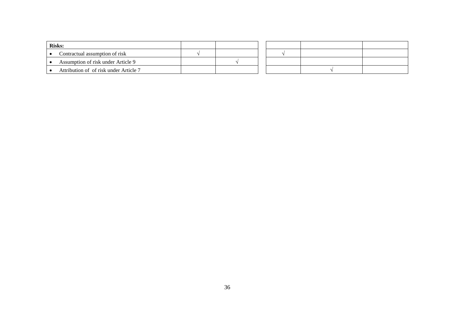| <b>Risks:</b>                          |  |  |  |
|----------------------------------------|--|--|--|
| Contractual assumption of risk         |  |  |  |
| Assumption of risk under Article 9     |  |  |  |
| Attribution of of risk under Article 7 |  |  |  |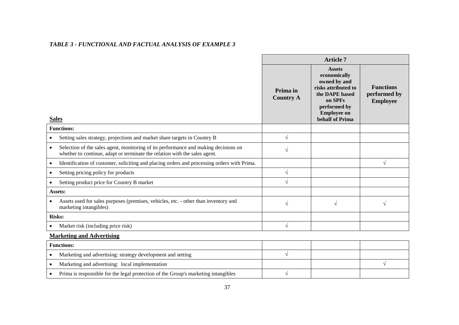# *TABLE 3 - FUNCTIONAL AND FACTUAL ANALYSIS OF EXAMPLE 3*

|                                                                                                                                                                                | <b>Article 7</b>             |                                                                                                                                                            |                                                     |
|--------------------------------------------------------------------------------------------------------------------------------------------------------------------------------|------------------------------|------------------------------------------------------------------------------------------------------------------------------------------------------------|-----------------------------------------------------|
| <b>Sales</b>                                                                                                                                                                   | Prima in<br><b>Country A</b> | <b>Assets</b><br>economically<br>owned by and<br>risks attributed to<br>the DAPE based<br>on SPFs<br>performed by<br><b>Employee on</b><br>behalf of Prima | <b>Functions</b><br>performed by<br><b>Employee</b> |
| <b>Functions:</b>                                                                                                                                                              |                              |                                                                                                                                                            |                                                     |
| Setting sales strategy, projections and market share targets in Country B<br>$\bullet$                                                                                         | $\sqrt{}$                    |                                                                                                                                                            |                                                     |
| Selection of the sales agent, monitoring of its performance and making decisions on<br>$\bullet$<br>whether to continue, adapt or terminate the relation with the sales agent. | V                            |                                                                                                                                                            |                                                     |
| Identification of customer, soliciting and placing orders and processing orders with Prima.<br>$\bullet$                                                                       |                              |                                                                                                                                                            | $\sqrt{}$                                           |
| Setting pricing policy for products<br>$\bullet$                                                                                                                               | $\sqrt{ }$                   |                                                                                                                                                            |                                                     |
| Setting product price for Country B market<br>$\bullet$                                                                                                                        | V                            |                                                                                                                                                            |                                                     |
| Assets:                                                                                                                                                                        |                              |                                                                                                                                                            |                                                     |
| Assets used for sales purposes (premises, vehicles, etc. - other than inventory and<br>$\bullet$<br>marketing intangibles)                                                     | $\sqrt{ }$                   | $\sqrt{ }$                                                                                                                                                 | $\sqrt{}$                                           |
| <b>Risks:</b>                                                                                                                                                                  |                              |                                                                                                                                                            |                                                     |
| Market risk (including price risk)<br>$\bullet$                                                                                                                                | $\sqrt{ }$                   |                                                                                                                                                            |                                                     |
| <b>Marketing and Advertising</b>                                                                                                                                               |                              |                                                                                                                                                            |                                                     |
| <b>Functions:</b>                                                                                                                                                              |                              |                                                                                                                                                            |                                                     |
| Marketing and advertising: strategy development and setting<br>$\bullet$                                                                                                       | $\sqrt{ }$                   |                                                                                                                                                            |                                                     |
| Marketing and advertising: local implementation<br>$\bullet$                                                                                                                   |                              |                                                                                                                                                            | $\sqrt{}$                                           |
| Prima is responsible for the legal protection of the Group's marketing intangibles<br>$\bullet$                                                                                | $\sqrt{ }$                   |                                                                                                                                                            |                                                     |